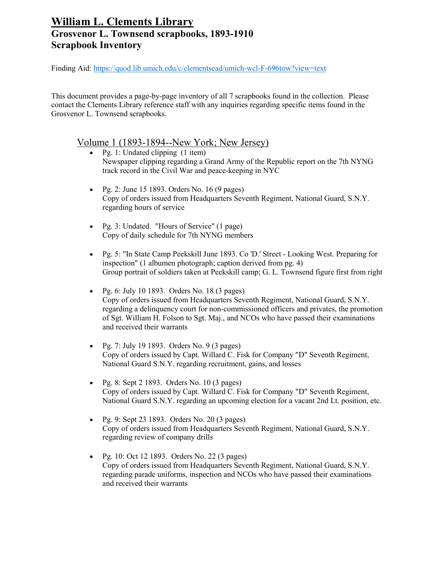Finding Aid:<https://quod.lib.umich.edu/c/clementsead/umich-wcl-F-696tow?view=text>

This document provides a page-by-page inventory of all 7 scrapbooks found in the collection. Please contact the Clements Library reference staff with any inquiries regarding specific items found in the Grosvenor L. Townsend scrapbooks.

#### Volume 1 (1893-1894--New York; New Jersey)

- Pg. 1: Undated clipping (1 item) Newspaper clipping regarding a Grand Army of the Republic report on the 7th NYNG track record in the Civil War and peace-keeping in NYC
- Pg. 2: June 15 1893. Orders No. 16 (9 pages) Copy of orders issued from Headquarters Seventh Regiment, National Guard, S.N.Y. regarding hours of service
- Pg. 3: Undated. "Hours of Service" (1 page) Copy of daily schedule for 7th NYNG members
- Pg. 5: "In State Camp Peekskill June 1893. Co 'D.' Street Looking West. Preparing for inspection" (1 albumen photograph; caption derived from pg. 4) Group portrait of soldiers taken at Peekskill camp; G. L. Townsend figure first from right
- Pg. 6: July 10 1893. Orders No. 18  $(3 \text{ pages})$ Copy of orders issued from Headquarters Seventh Regiment, National Guard, S.N.Y. regarding a delinquency court for non-commissioned officers and privates, the promotion of Sgt. William H. Folson to Sgt. Maj., and NCOs who have passed their examinations and received their warrants
- Pg. 7: July 19 1893. Orders No. 9 (3 pages) Copy of orders issued by Capt. Willard C. Fisk for Company "D" Seventh Regiment, National Guard S.N.Y. regarding recruitment, gains, and losses
- Pg. 8: Sept 2 1893. Orders No. 10  $(3 \text{ pages})$ Copy of orders issued by Capt. Willard C. Fisk for Company "D" Seventh Regiment, National Guard S.N.Y. regarding an upcoming election for a vacant 2nd Lt. position, etc.
- Pg. 9: Sept 23 1893. Orders No. 20 (3 pages) Copy of orders issued from Headquarters Seventh Regiment, National Guard, S.N.Y. regarding review of company drills
- Pg. 10: Oct 12 1893. Orders No. 22 (3 pages) Copy of orders issued from Headquarters Seventh Regiment, National Guard, S.N.Y. regarding parade uniforms, inspection and NCOs who have passed their examinations and received their warrants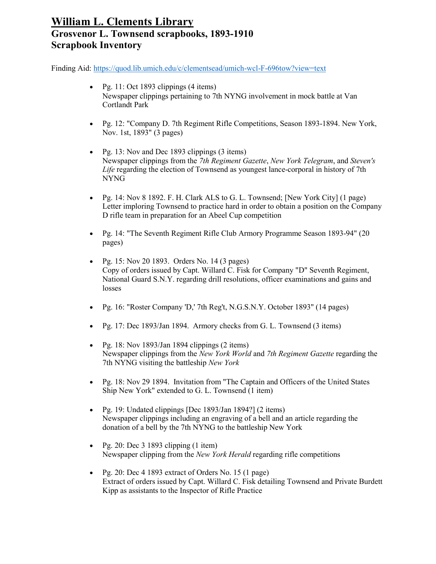- Pg. 11: Oct 1893 clippings  $(4 \text{ items})$ Newspaper clippings pertaining to 7th NYNG involvement in mock battle at Van Cortlandt Park
- Pg. 12: "Company D. 7th Regiment Rifle Competitions, Season 1893-1894. New York, Nov. 1st, 1893" (3 pages)
- Pg. 13: Nov and Dec 1893 clippings (3 items) Newspaper clippings from the *7th Regiment Gazette*, *New York Telegram*, and *Steven's Life* regarding the election of Townsend as youngest lance-corporal in history of 7th NYNG
- Pg. 14: Nov 8 1892. F. H. Clark ALS to G. L. Townsend; [New York City] (1 page) Letter imploring Townsend to practice hard in order to obtain a position on the Company D rifle team in preparation for an Abeel Cup competition
- Pg. 14: "The Seventh Regiment Rifle Club Armory Programme Season 1893-94" (20 pages)
- Pg. 15: Nov 20 1893. Orders No. 14 (3 pages) Copy of orders issued by Capt. Willard C. Fisk for Company "D" Seventh Regiment, National Guard S.N.Y. regarding drill resolutions, officer examinations and gains and losses
- Pg. 16: "Roster Company 'D,' 7th Reg't, N.G.S.N.Y. October 1893" (14 pages)
- Pg. 17: Dec 1893/Jan 1894. Armory checks from G. L. Townsend (3 items)
- Pg. 18: Nov 1893/Jan 1894 clippings (2 items) Newspaper clippings from the *New York World* and *7th Regiment Gazette* regarding the 7th NYNG visiting the battleship *New York*
- Pg. 18: Nov 29 1894. Invitation from "The Captain and Officers of the United States Ship New York" extended to G. L. Townsend (1 item)
- Pg. 19: Undated clippings [Dec 1893/Jan 1894?] (2 items) Newspaper clippings including an engraving of a bell and an article regarding the donation of a bell by the 7th NYNG to the battleship New York
- Pg. 20: Dec 3 1893 clipping  $(1$  item) Newspaper clipping from the *New York Herald* regarding rifle competitions
- Pg. 20: Dec 4 1893 extract of Orders No. 15 (1 page) Extract of orders issued by Capt. Willard C. Fisk detailing Townsend and Private Burdett Kipp as assistants to the Inspector of Rifle Practice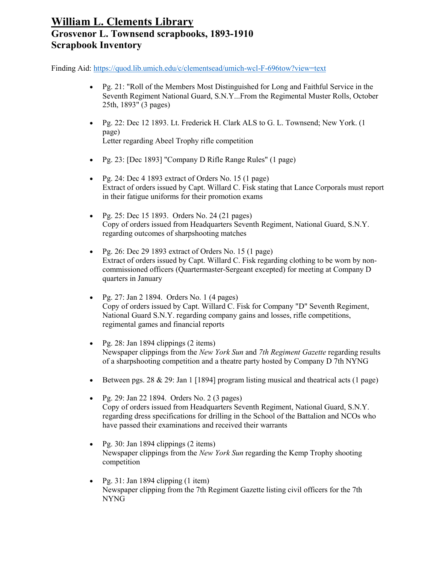- Pg. 21: "Roll of the Members Most Distinguished for Long and Faithful Service in the Seventh Regiment National Guard, S.N.Y...From the Regimental Muster Rolls, October 25th, 1893" (3 pages)
- Pg. 22: Dec 12 1893. Lt. Frederick H. Clark ALS to G. L. Townsend; New York. (1 page) Letter regarding Abeel Trophy rifle competition
- Pg. 23: [Dec 1893] "Company D Rifle Range Rules" (1 page)
- Pg. 24: Dec 4 1893 extract of Orders No. 15 (1 page) Extract of orders issued by Capt. Willard C. Fisk stating that Lance Corporals must report in their fatigue uniforms for their promotion exams
- Pg. 25: Dec 15 1893. Orders No. 24 (21 pages) Copy of orders issued from Headquarters Seventh Regiment, National Guard, S.N.Y. regarding outcomes of sharpshooting matches
- Pg. 26: Dec 29 1893 extract of Orders No. 15 (1 page) Extract of orders issued by Capt. Willard C. Fisk regarding clothing to be worn by noncommissioned officers (Quartermaster-Sergeant excepted) for meeting at Company D quarters in January
- Pg. 27: Jan 2 1894. Orders No. 1 (4 pages) Copy of orders issued by Capt. Willard C. Fisk for Company "D" Seventh Regiment, National Guard S.N.Y. regarding company gains and losses, rifle competitions, regimental games and financial reports
- Pg. 28: Jan 1894 clippings  $(2 \text{ items})$ Newspaper clippings from the *New York Sun* and *7th Regiment Gazette* regarding results of a sharpshooting competition and a theatre party hosted by Company D 7th NYNG
- Between pgs. 28 & 29: Jan 1 [1894] program listing musical and theatrical acts (1 page)
- Pg. 29: Jan 22 1894. Orders No. 2 (3 pages) Copy of orders issued from Headquarters Seventh Regiment, National Guard, S.N.Y. regarding dress specifications for drilling in the School of the Battalion and NCOs who have passed their examinations and received their warrants
- Pg. 30: Jan 1894 clippings  $(2 \text{ items})$ Newspaper clippings from the *New York Sun* regarding the Kemp Trophy shooting competition
- Pg. 31: Jan 1894 clipping  $(1$  item) Newspaper clipping from the 7th Regiment Gazette listing civil officers for the 7th NYNG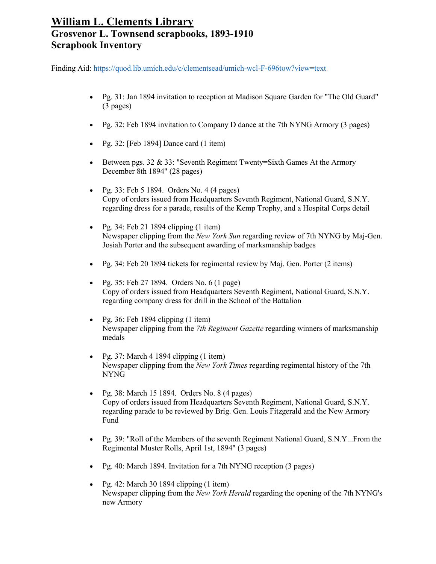- Pg. 31: Jan 1894 invitation to reception at Madison Square Garden for "The Old Guard" (3 pages)
- Pg. 32: Feb 1894 invitation to Company D dance at the 7th NYNG Armory (3 pages)
- Pg. 32: [Feb 1894] Dance card (1 item)
- Between pgs.  $32 \& 33$ : "Seventh Regiment Twenty=Sixth Games At the Armory December 8th 1894" (28 pages)
- Pg. 33: Feb 5 1894. Orders No. 4 (4 pages) Copy of orders issued from Headquarters Seventh Regiment, National Guard, S.N.Y. regarding dress for a parade, results of the Kemp Trophy, and a Hospital Corps detail
- Pg. 34: Feb 21 1894 clipping  $(1$  item) Newspaper clipping from the *New York Sun* regarding review of 7th NYNG by Maj-Gen. Josiah Porter and the subsequent awarding of marksmanship badges
- Pg. 34: Feb 20 1894 tickets for regimental review by Maj. Gen. Porter (2 items)
- Pg. 35: Feb 27 1894. Orders No. 6 (1 page) Copy of orders issued from Headquarters Seventh Regiment, National Guard, S.N.Y. regarding company dress for drill in the School of the Battalion
- Pg. 36: Feb 1894 clipping  $(1$  item) Newspaper clipping from the *7th Regiment Gazette* regarding winners of marksmanship medals
- Pg. 37: March 4 1894 clipping  $(1$  item) Newspaper clipping from the *New York Times* regarding regimental history of the 7th NYNG
- Pg. 38: March 15 1894. Orders No.  $8(4 \text{ pages})$ Copy of orders issued from Headquarters Seventh Regiment, National Guard, S.N.Y. regarding parade to be reviewed by Brig. Gen. Louis Fitzgerald and the New Armory Fund
- Pg. 39: "Roll of the Members of the seventh Regiment National Guard, S.N.Y...From the Regimental Muster Rolls, April 1st, 1894" (3 pages)
- Pg. 40: March 1894. Invitation for a 7th NYNG reception (3 pages)
- Pg. 42: March 30 1894 clipping  $(1$  item) Newspaper clipping from the *New York Herald* regarding the opening of the 7th NYNG's new Armory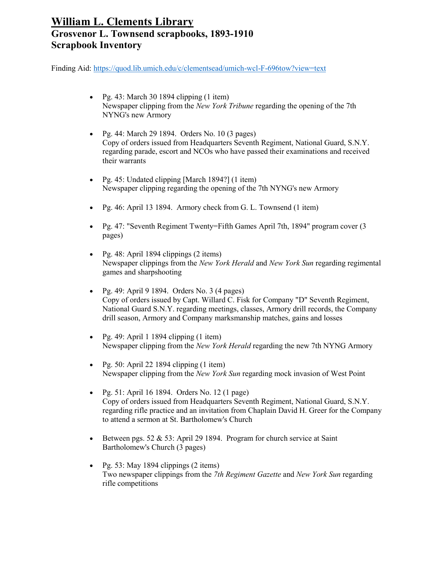- Pg. 43: March 30 1894 clipping  $(1$  item) Newspaper clipping from the *New York Tribune* regarding the opening of the 7th NYNG's new Armory
- Pg. 44: March 29 1894. Orders No. 10 (3 pages) Copy of orders issued from Headquarters Seventh Regiment, National Guard, S.N.Y. regarding parade, escort and NCOs who have passed their examinations and received their warrants
- Pg. 45: Undated clipping [March 1894?] (1 item) Newspaper clipping regarding the opening of the 7th NYNG's new Armory
- Pg. 46: April 13 1894. Armory check from G. L. Townsend (1 item)
- Pg. 47: "Seventh Regiment Twenty=Fifth Games April 7th, 1894" program cover (3) pages)
- Pg. 48: April 1894 clippings  $(2 \text{ items})$ Newspaper clippings from the *New York Herald* and *New York Sun* regarding regimental games and sharpshooting
- Pg. 49: April 9 1894. Orders No.  $3$  (4 pages) Copy of orders issued by Capt. Willard C. Fisk for Company "D" Seventh Regiment, National Guard S.N.Y. regarding meetings, classes, Armory drill records, the Company drill season, Armory and Company marksmanship matches, gains and losses
- Pg. 49: April 1 1894 clipping  $(1$  item) Newspaper clipping from the *New York Herald* regarding the new 7th NYNG Armory
- Pg. 50: April 22 1894 clipping  $(1$  item) Newspaper clipping from the *New York Sun* regarding mock invasion of West Point
- Pg. 51: April 16 1894. Orders No. 12 (1 page) Copy of orders issued from Headquarters Seventh Regiment, National Guard, S.N.Y. regarding rifle practice and an invitation from Chaplain David H. Greer for the Company to attend a sermon at St. Bartholomew's Church
- Between pgs. 52  $&$  53: April 29 1894. Program for church service at Saint Bartholomew's Church (3 pages)
- Pg. 53: May 1894 clippings (2 items) Two newspaper clippings from the *7th Regiment Gazette* and *New York Sun* regarding rifle competitions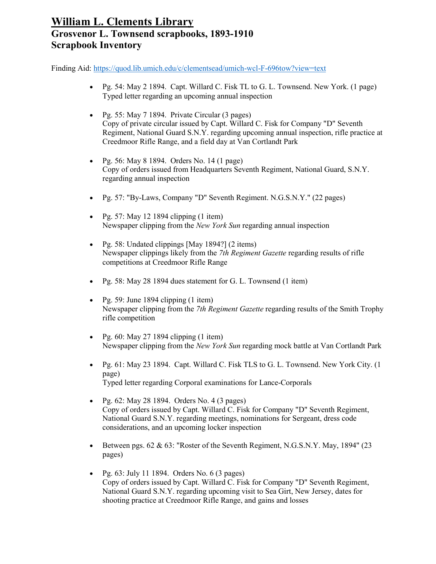- Pg. 54: May 2 1894. Capt. Willard C. Fisk TL to G. L. Townsend. New York. (1 page) Typed letter regarding an upcoming annual inspection
- Pg. 55: May 7 1894. Private Circular (3 pages) Copy of private circular issued by Capt. Willard C. Fisk for Company "D" Seventh Regiment, National Guard S.N.Y. regarding upcoming annual inspection, rifle practice at Creedmoor Rifle Range, and a field day at Van Cortlandt Park
- Pg. 56: May 8 1894. Orders No. 14 (1 page) Copy of orders issued from Headquarters Seventh Regiment, National Guard, S.N.Y. regarding annual inspection
- Pg. 57: "By-Laws, Company "D" Seventh Regiment. N.G.S.N.Y." (22 pages)
- Pg. 57: May 12 1894 clipping  $(1$  item) Newspaper clipping from the *New York Sun* regarding annual inspection
- Pg. 58: Undated clippings [May 1894?] (2 items) Newspaper clippings likely from the *7th Regiment Gazette* regarding results of rifle competitions at Creedmoor Rifle Range
- Pg. 58: May 28 1894 dues statement for G. L. Townsend (1 item)
- Pg. 59: June 1894 clipping  $(1$  item) Newspaper clipping from the *7th Regiment Gazette* regarding results of the Smith Trophy rifle competition
- Pg.  $60:$  May 27 1894 clipping  $(1$  item) Newspaper clipping from the *New York Sun* regarding mock battle at Van Cortlandt Park
- Pg. 61: May 23 1894. Capt. Willard C. Fisk TLS to G. L. Townsend. New York City. (1 page) Typed letter regarding Corporal examinations for Lance-Corporals
- Pg. 62: May 28 1894. Orders No. 4 (3 pages) Copy of orders issued by Capt. Willard C. Fisk for Company "D" Seventh Regiment, National Guard S.N.Y. regarding meetings, nominations for Sergeant, dress code considerations, and an upcoming locker inspection
- Between pgs.  $62 \& 63$ : "Roster of the Seventh Regiment, N.G.S.N.Y. May, 1894" (23) pages)
- Pg.  $63$ : July 11 1894. Orders No.  $6(3 \text{ pages})$ Copy of orders issued by Capt. Willard C. Fisk for Company "D" Seventh Regiment, National Guard S.N.Y. regarding upcoming visit to Sea Girt, New Jersey, dates for shooting practice at Creedmoor Rifle Range, and gains and losses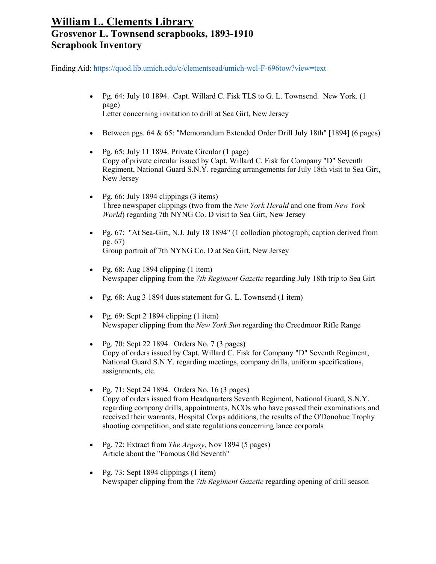- Pg. 64: July 10 1894. Capt. Willard C. Fisk TLS to G. L. Townsend. New York. (1 page) Letter concerning invitation to drill at Sea Girt, New Jersey
- Between pgs. 64 & 65: "Memorandum Extended Order Drill July 18th" [1894] (6 pages)
- Pg. 65: July 11 1894. Private Circular (1 page) Copy of private circular issued by Capt. Willard C. Fisk for Company "D" Seventh Regiment, National Guard S.N.Y. regarding arrangements for July 18th visit to Sea Girt, New Jersey
- Pg. 66: July 1894 clippings  $(3 \text{ items})$ Three newspaper clippings (two from the *New York Herald* and one from *New York World*) regarding 7th NYNG Co. D visit to Sea Girt, New Jersey
- Pg. 67: "At Sea-Girt, N.J. July 18 1894" (1 collodion photograph; caption derived from pg. 67) Group portrait of 7th NYNG Co. D at Sea Girt, New Jersey
- Pg.  $68:$  Aug 1894 clipping  $(1$  item) Newspaper clipping from the *7th Regiment Gazette* regarding July 18th trip to Sea Girt
- Pg. 68: Aug 3 1894 dues statement for G. L. Townsend (1 item)
- Pg.  $69:$  Sept 2 1894 clipping  $(1$  item) Newspaper clipping from the *New York Sun* regarding the Creedmoor Rifle Range
- Pg. 70: Sept 22 1894. Orders No. 7 (3 pages) Copy of orders issued by Capt. Willard C. Fisk for Company "D" Seventh Regiment, National Guard S.N.Y. regarding meetings, company drills, uniform specifications, assignments, etc.
- Pg. 71: Sept 24 1894. Orders No. 16 (3 pages) Copy of orders issued from Headquarters Seventh Regiment, National Guard, S.N.Y. regarding company drills, appointments, NCOs who have passed their examinations and received their warrants, Hospital Corps additions, the results of the O'Donohue Trophy shooting competition, and state regulations concerning lance corporals
- Pg. 72: Extract from *The Argosy*, Nov 1894 (5 pages) Article about the "Famous Old Seventh"
- Pg. 73: Sept 1894 clippings  $(1$  item) Newspaper clipping from the *7th Regiment Gazette* regarding opening of drill season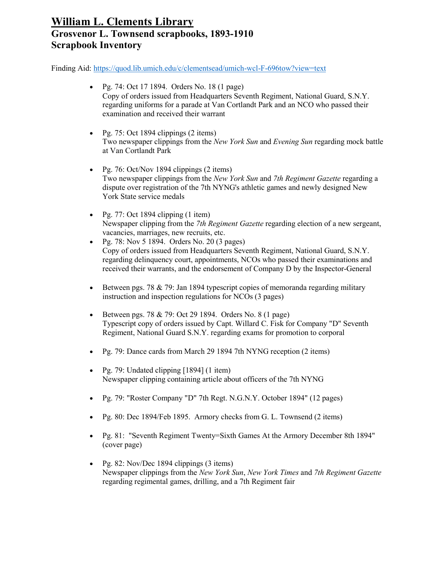- Pg. 74: Oct 17 1894. Orders No. 18 (1 page) Copy of orders issued from Headquarters Seventh Regiment, National Guard, S.N.Y. regarding uniforms for a parade at Van Cortlandt Park and an NCO who passed their examination and received their warrant
- Pg. 75: Oct 1894 clippings  $(2 \text{ items})$ Two newspaper clippings from the *New York Sun* and *Evening Sun* regarding mock battle at Van Cortlandt Park
- Pg. 76: Oct/Nov 1894 clippings  $(2 \text{ items})$ Two newspaper clippings from the *New York Sun* and *7th Regiment Gazette* regarding a dispute over registration of the 7th NYNG's athletic games and newly designed New York State service medals
- Pg. 77: Oct 1894 clipping  $(1$  item) Newspaper clipping from the *7th Regiment Gazette* regarding election of a new sergeant, vacancies, marriages, new recruits, etc.
- Pg. 78: Nov 5 1894. Orders No. 20 (3 pages) Copy of orders issued from Headquarters Seventh Regiment, National Guard, S.N.Y. regarding delinquency court, appointments, NCOs who passed their examinations and received their warrants, and the endorsement of Company D by the Inspector-General
- Between pgs. 78  $\&$  79: Jan 1894 typescript copies of memoranda regarding military instruction and inspection regulations for NCOs (3 pages)
- Between pgs. 78 & 79: Oct 29 1894. Orders No.  $8(1 \text{ page})$ Typescript copy of orders issued by Capt. Willard C. Fisk for Company "D" Seventh Regiment, National Guard S.N.Y. regarding exams for promotion to corporal
- Pg. 79: Dance cards from March 29 1894 7th NYNG reception (2 items)
- Pg. 79: Undated clipping  $[1894]$  (1 item) Newspaper clipping containing article about officers of the 7th NYNG
- Pg. 79: "Roster Company "D" 7th Regt. N.G.N.Y. October 1894" (12 pages)
- Pg. 80: Dec 1894/Feb 1895. Armory checks from G. L. Townsend (2 items)
- Pg. 81: "Seventh Regiment Twenty=Sixth Games At the Armory December 8th 1894" (cover page)
- Pg. 82: Nov/Dec 1894 clippings  $(3 \text{ items})$ Newspaper clippings from the *New York Sun*, *New York Times* and *7th Regiment Gazette* regarding regimental games, drilling, and a 7th Regiment fair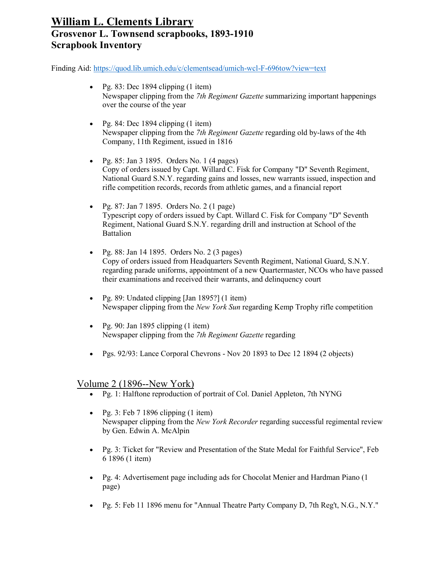Finding Aid:<https://quod.lib.umich.edu/c/clementsead/umich-wcl-F-696tow?view=text>

- Pg. 83: Dec 1894 clipping  $(1$  item) Newspaper clipping from the *7th Regiment Gazette* summarizing important happenings over the course of the year
- Pg. 84: Dec 1894 clipping  $(1$  item) Newspaper clipping from the *7th Regiment Gazette* regarding old by-laws of the 4th Company, 11th Regiment, issued in 1816
- Pg. 85: Jan 3 1895. Orders No. 1 (4 pages) Copy of orders issued by Capt. Willard C. Fisk for Company "D" Seventh Regiment, National Guard S.N.Y. regarding gains and losses, new warrants issued, inspection and rifle competition records, records from athletic games, and a financial report
- Pg. 87: Jan 7 1895. Orders No. 2 (1 page) Typescript copy of orders issued by Capt. Willard C. Fisk for Company "D" Seventh Regiment, National Guard S.N.Y. regarding drill and instruction at School of the **Battalion**
- Pg. 88: Jan 14 1895. Orders No. 2 (3 pages) Copy of orders issued from Headquarters Seventh Regiment, National Guard, S.N.Y. regarding parade uniforms, appointment of a new Quartermaster, NCOs who have passed their examinations and received their warrants, and delinquency court
- Pg. 89: Undated clipping [Jan 1895?] (1 item) Newspaper clipping from the *New York Sun* regarding Kemp Trophy rifle competition
- Pg. 90: Jan 1895 clipping  $(1$  item) Newspaper clipping from the *7th Regiment Gazette* regarding
- Pgs. 92/93: Lance Corporal Chevrons Nov 20 1893 to Dec 12 1894 (2 objects)

#### Volume 2 (1896--New York)

- Pg. 1: Halftone reproduction of portrait of Col. Daniel Appleton, 7th NYNG
- Pg. 3: Feb  $7 \frac{1896}{c}$  clipping (1 item) Newspaper clipping from the *New York Recorder* regarding successful regimental review by Gen. Edwin A. McAlpin
- Pg. 3: Ticket for "Review and Presentation of the State Medal for Faithful Service", Feb 6 1896 (1 item)
- Pg. 4: Advertisement page including ads for Chocolat Menier and Hardman Piano (1 page)
- Pg. 5: Feb 11 1896 menu for "Annual Theatre Party Company D, 7th Reg't, N.G., N.Y."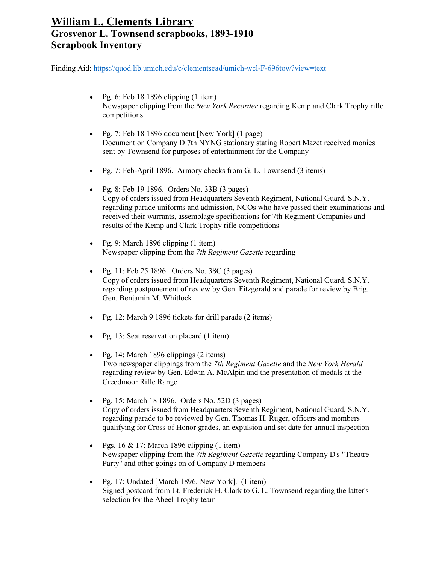- Pg.  $6:$  Feb 18 1896 clipping  $(1$  item) Newspaper clipping from the *New York Recorder* regarding Kemp and Clark Trophy rifle competitions
- Pg. 7: Feb 18 1896 document [New York] (1 page) Document on Company D 7th NYNG stationary stating Robert Mazet received monies sent by Townsend for purposes of entertainment for the Company
- Pg. 7: Feb-April 1896. Armory checks from G. L. Townsend (3 items)
- Pg. 8: Feb 19 1896. Orders No. 33B (3 pages) Copy of orders issued from Headquarters Seventh Regiment, National Guard, S.N.Y. regarding parade uniforms and admission, NCOs who have passed their examinations and received their warrants, assemblage specifications for 7th Regiment Companies and results of the Kemp and Clark Trophy rifle competitions
- Pg. 9: March 1896 clipping (1 item) Newspaper clipping from the *7th Regiment Gazette* regarding
- Pg. 11: Feb 25 1896. Orders No. 38C  $(3 \text{ pages})$ Copy of orders issued from Headquarters Seventh Regiment, National Guard, S.N.Y. regarding postponement of review by Gen. Fitzgerald and parade for review by Brig. Gen. Benjamin M. Whitlock
- Pg. 12: March 9 1896 tickets for drill parade (2 items)
- Pg. 13: Seat reservation placard (1 item)
- Pg. 14: March 1896 clippings  $(2 \text{ items})$ Two newspaper clippings from the *7th Regiment Gazette* and the *New York Herald* regarding review by Gen. Edwin A. McAlpin and the presentation of medals at the Creedmoor Rifle Range
- Pg. 15: March 18 1896. Orders No. 52D (3 pages) Copy of orders issued from Headquarters Seventh Regiment, National Guard, S.N.Y. regarding parade to be reviewed by Gen. Thomas H. Ruger, officers and members qualifying for Cross of Honor grades, an expulsion and set date for annual inspection
- Pgs.  $16 \& 17$ : March 1896 clipping (1 item) Newspaper clipping from the *7th Regiment Gazette* regarding Company D's "Theatre Party" and other goings on of Company D members
- Pg. 17: Undated [March 1896, New York]. (1 item) Signed postcard from Lt. Frederick H. Clark to G. L. Townsend regarding the latter's selection for the Abeel Trophy team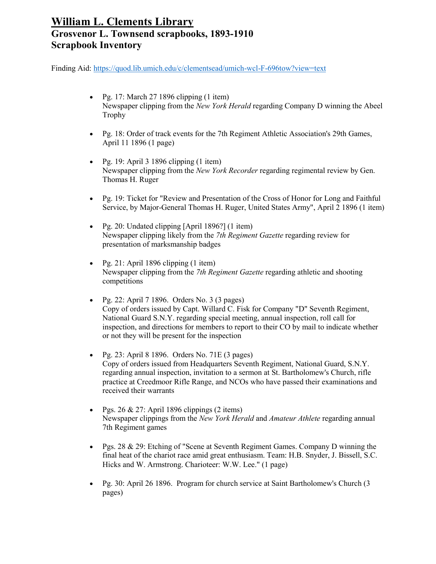- Pg. 17: March 27 1896 clipping  $(1$  item) Newspaper clipping from the *New York Herald* regarding Company D winning the Abeel Trophy
- Pg. 18: Order of track events for the 7th Regiment Athletic Association's 29th Games, April 11 1896 (1 page)
- Pg. 19: April 3 1896 clipping  $(1$  item) Newspaper clipping from the *New York Recorder* regarding regimental review by Gen. Thomas H. Ruger
- Pg. 19: Ticket for "Review and Presentation of the Cross of Honor for Long and Faithful Service, by Major-General Thomas H. Ruger, United States Army", April 2 1896 (1 item)
- Pg. 20: Undated clipping [April 1896?] (1 item) Newspaper clipping likely from the *7th Regiment Gazette* regarding review for presentation of marksmanship badges
- Pg. 21: April 1896 clipping  $(1$  item) Newspaper clipping from the *7th Regiment Gazette* regarding athletic and shooting competitions
- Pg. 22: April 7 1896. Orders No.  $3$  (3 pages) Copy of orders issued by Capt. Willard C. Fisk for Company "D" Seventh Regiment, National Guard S.N.Y. regarding special meeting, annual inspection, roll call for inspection, and directions for members to report to their CO by mail to indicate whether or not they will be present for the inspection
- Pg. 23: April 8 1896. Orders No. 71E  $(3 \text{ pages})$ Copy of orders issued from Headquarters Seventh Regiment, National Guard, S.N.Y. regarding annual inspection, invitation to a sermon at St. Bartholomew's Church, rifle practice at Creedmoor Rifle Range, and NCOs who have passed their examinations and received their warrants
- Pgs.  $26 \& 27$ : April 1896 clippings (2 items) Newspaper clippings from the *New York Herald* and *Amateur Athlete* regarding annual 7th Regiment games
- Pgs. 28 & 29: Etching of "Scene at Seventh Regiment Games. Company D winning the final heat of the chariot race amid great enthusiasm. Team: H.B. Snyder, J. Bissell, S.C. Hicks and W. Armstrong. Charioteer: W.W. Lee." (1 page)
- Pg. 30: April 26 1896. Program for church service at Saint Bartholomew's Church (3 pages)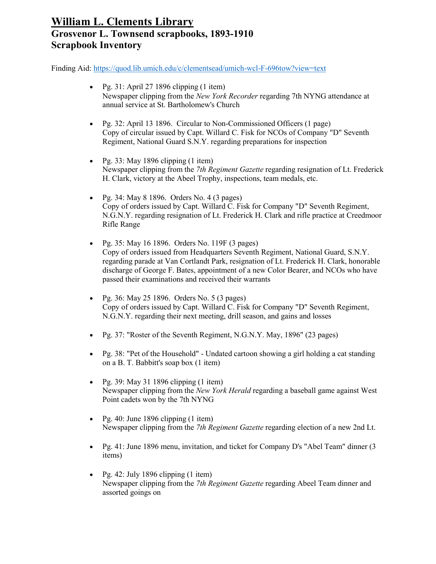- Pg. 31: April 27 1896 clipping  $(1$  item) Newspaper clipping from the *New York Recorder* regarding 7th NYNG attendance at annual service at St. Bartholomew's Church
- Pg. 32: April 13 1896. Circular to Non-Commissioned Officers (1 page) Copy of circular issued by Capt. Willard C. Fisk for NCOs of Company "D" Seventh Regiment, National Guard S.N.Y. regarding preparations for inspection
- Pg. 33: May 1896 clipping  $(1$  item) Newspaper clipping from the *7th Regiment Gazette* regarding resignation of Lt. Frederick H. Clark, victory at the Abeel Trophy, inspections, team medals, etc.
- Pg. 34: May 8 1896. Orders No. 4 (3 pages) Copy of orders issued by Capt. Willard C. Fisk for Company "D" Seventh Regiment, N.G.N.Y. regarding resignation of Lt. Frederick H. Clark and rifle practice at Creedmoor Rifle Range
- Pg. 35: May 16 1896. Orders No. 119F (3 pages) Copy of orders issued from Headquarters Seventh Regiment, National Guard, S.N.Y. regarding parade at Van Cortlandt Park, resignation of Lt. Frederick H. Clark, honorable discharge of George F. Bates, appointment of a new Color Bearer, and NCOs who have passed their examinations and received their warrants
- Pg. 36: May 25 1896. Orders No. 5 (3 pages) Copy of orders issued by Capt. Willard C. Fisk for Company "D" Seventh Regiment, N.G.N.Y. regarding their next meeting, drill season, and gains and losses
- Pg. 37: "Roster of the Seventh Regiment, N.G.N.Y. May, 1896" (23 pages)
- Pg. 38: "Pet of the Household" Undated cartoon showing a girl holding a cat standing on a B. T. Babbitt's soap box (1 item)
- Pg. 39: May 31 1896 clipping  $(1$  item) Newspaper clipping from the *New York Herald* regarding a baseball game against West Point cadets won by the 7th NYNG
- Pg. 40: June 1896 clipping  $(1$  item) Newspaper clipping from the *7th Regiment Gazette* regarding election of a new 2nd Lt.
- Pg. 41: June 1896 menu, invitation, and ticket for Company D's "Abel Team" dinner (3 items)
- Pg. 42: July 1896 clipping  $(1$  item) Newspaper clipping from the *7th Regiment Gazette* regarding Abeel Team dinner and assorted goings on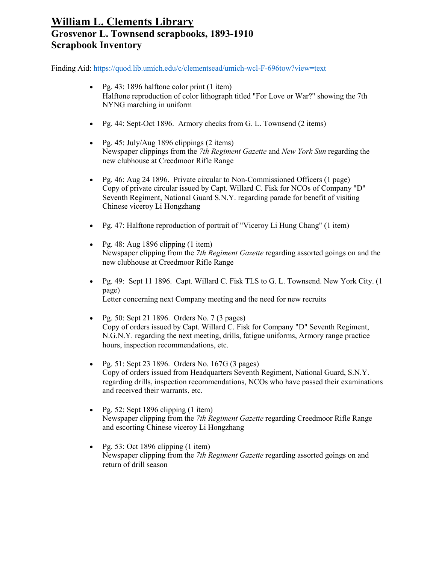- Pg. 43: 1896 halftone color print (1 item) Halftone reproduction of color lithograph titled "For Love or War?" showing the 7th NYNG marching in uniform
- Pg. 44: Sept-Oct 1896. Armory checks from G. L. Townsend (2 items)
- Pg. 45: July/Aug 1896 clippings  $(2 \text{ items})$ Newspaper clippings from the *7th Regiment Gazette* and *New York Sun* regarding the new clubhouse at Creedmoor Rifle Range
- Pg. 46: Aug 24 1896. Private circular to Non-Commissioned Officers (1 page) Copy of private circular issued by Capt. Willard C. Fisk for NCOs of Company "D" Seventh Regiment, National Guard S.N.Y. regarding parade for benefit of visiting Chinese viceroy Li Hongzhang
- Pg. 47: Halftone reproduction of portrait of "Viceroy Li Hung Chang" (1 item)
- Pg. 48: Aug 1896 clipping  $(1$  item) Newspaper clipping from the *7th Regiment Gazette* regarding assorted goings on and the new clubhouse at Creedmoor Rifle Range
- Pg. 49: Sept 11 1896. Capt. Willard C. Fisk TLS to G. L. Townsend. New York City. (1 page) Letter concerning next Company meeting and the need for new recruits
- Pg. 50: Sept 21 1896. Orders No. 7 (3 pages) Copy of orders issued by Capt. Willard C. Fisk for Company "D" Seventh Regiment, N.G.N.Y. regarding the next meeting, drills, fatigue uniforms, Armory range practice hours, inspection recommendations, etc.
- Pg. 51: Sept 23 1896. Orders No. 167G (3 pages) Copy of orders issued from Headquarters Seventh Regiment, National Guard, S.N.Y. regarding drills, inspection recommendations, NCOs who have passed their examinations and received their warrants, etc.
- Pg. 52: Sept 1896 clipping  $(1$  item) Newspaper clipping from the *7th Regiment Gazette* regarding Creedmoor Rifle Range and escorting Chinese viceroy Li Hongzhang
- Pg. 53: Oct 1896 clipping  $(1$  item) Newspaper clipping from the *7th Regiment Gazette* regarding assorted goings on and return of drill season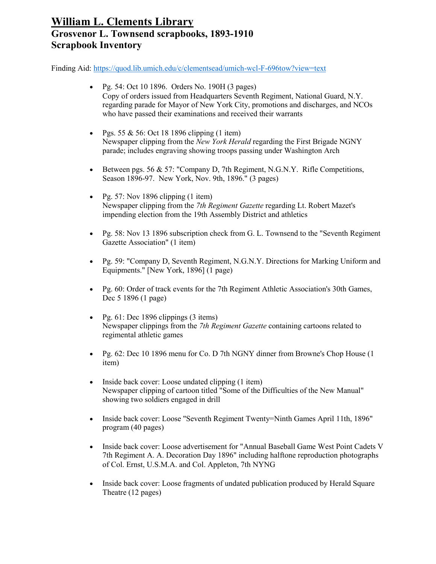- Pg. 54: Oct 10 1896. Orders No. 190H (3 pages) Copy of orders issued from Headquarters Seventh Regiment, National Guard, N.Y. regarding parade for Mayor of New York City, promotions and discharges, and NCOs who have passed their examinations and received their warrants
- Pgs. 55 & 56: Oct 18 1896 clipping  $(1$  item) Newspaper clipping from the *New York Herald* regarding the First Brigade NGNY parade; includes engraving showing troops passing under Washington Arch
- Between pgs. 56  $\&$  57: "Company D, 7th Regiment, N.G.N.Y. Rifle Competitions, Season 1896-97. New York, Nov. 9th, 1896." (3 pages)
- Pg. 57: Nov 1896 clipping  $(1$  item) Newspaper clipping from the *7th Regiment Gazette* regarding Lt. Robert Mazet's impending election from the 19th Assembly District and athletics
- Pg. 58: Nov 13 1896 subscription check from G. L. Townsend to the "Seventh Regiment" Gazette Association" (1 item)
- Pg. 59: "Company D, Seventh Regiment, N.G.N.Y. Directions for Marking Uniform and Equipments." [New York, 1896] (1 page)
- Pg. 60: Order of track events for the 7th Regiment Athletic Association's 30th Games, Dec 5 1896 (1 page)
- Pg.  $61:$  Dec 1896 clippings  $(3:$  items) Newspaper clippings from the *7th Regiment Gazette* containing cartoons related to regimental athletic games
- Pg. 62: Dec 10 1896 menu for Co. D 7th NGNY dinner from Browne's Chop House (1) item)
- Inside back cover: Loose undated clipping (1 item) Newspaper clipping of cartoon titled "Some of the Difficulties of the New Manual" showing two soldiers engaged in drill
- Inside back cover: Loose "Seventh Regiment Twenty=Ninth Games April 11th, 1896" program (40 pages)
- Inside back cover: Loose advertisement for "Annual Baseball Game West Point Cadets V 7th Regiment A. A. Decoration Day 1896" including halftone reproduction photographs of Col. Ernst, U.S.M.A. and Col. Appleton, 7th NYNG
- Inside back cover: Loose fragments of undated publication produced by Herald Square Theatre (12 pages)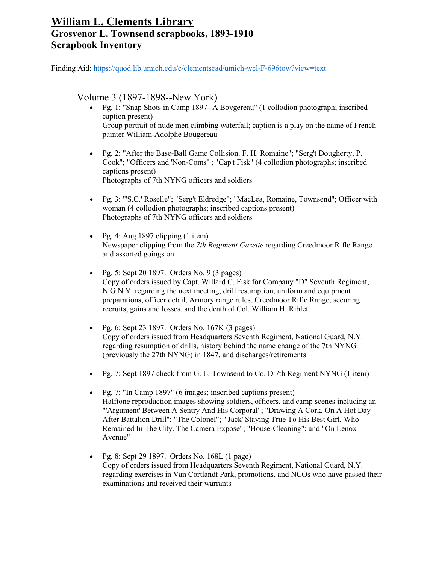Finding Aid:<https://quod.lib.umich.edu/c/clementsead/umich-wcl-F-696tow?view=text>

#### Volume 3 (1897-1898--New York)

- Pg. 1: "Snap Shots in Camp 1897--A Boygereau" (1 collodion photograph; inscribed caption present) Group portrait of nude men climbing waterfall; caption is a play on the name of French painter William-Adolphe Bougereau
- Pg. 2: "After the Base-Ball Game Collision. F. H. Romaine"; "Serg't Dougherty, P. Cook"; "Officers and 'Non-Coms'"; "Cap't Fisk" (4 collodion photographs; inscribed captions present) Photographs of 7th NYNG officers and soldiers
- Pg. 3: "'S.C.' Roselle"; "Serg't Eldredge"; "MacLea, Romaine, Townsend"; Officer with woman (4 collodion photographs; inscribed captions present) Photographs of 7th NYNG officers and soldiers
- Pg. 4: Aug 1897 clipping  $(1$  item) Newspaper clipping from the *7th Regiment Gazette* regarding Creedmoor Rifle Range and assorted goings on
- Pg. 5: Sept 20 1897. Orders No. 9 (3 pages) Copy of orders issued by Capt. Willard C. Fisk for Company "D" Seventh Regiment, N.G.N.Y. regarding the next meeting, drill resumption, uniform and equipment preparations, officer detail, Armory range rules, Creedmoor Rifle Range, securing recruits, gains and losses, and the death of Col. William H. Riblet
- Pg. 6: Sept 23 1897. Orders No.  $167K$  (3 pages) Copy of orders issued from Headquarters Seventh Regiment, National Guard, N.Y. regarding resumption of drills, history behind the name change of the 7th NYNG (previously the 27th NYNG) in 1847, and discharges/retirements
- Pg. 7: Sept 1897 check from G. L. Townsend to Co. D 7th Regiment NYNG (1 item)
- Pg. 7: "In Camp 1897" (6 images; inscribed captions present) Halftone reproduction images showing soldiers, officers, and camp scenes including an "'Argument' Between A Sentry And His Corporal"; "Drawing A Cork, On A Hot Day After Battalion Drill"; "The Colonel"; "'Jack' Staying True To His Best Girl, Who Remained In The City. The Camera Expose"; "House-Cleaning"; and "On Lenox Avenue"
- Pg. 8: Sept 29 1897. Orders No. 168L (1 page) Copy of orders issued from Headquarters Seventh Regiment, National Guard, N.Y. regarding exercises in Van Cortlandt Park, promotions, and NCOs who have passed their examinations and received their warrants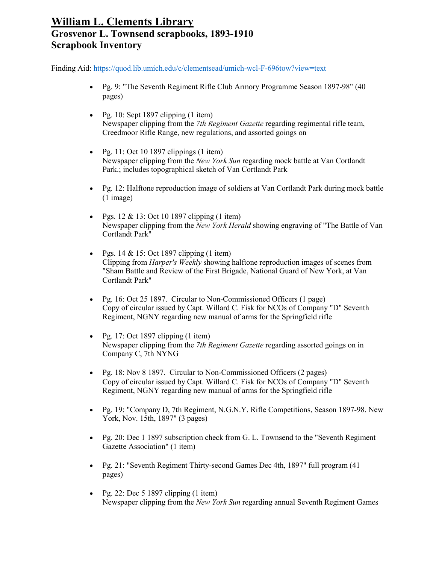- Pg. 9: "The Seventh Regiment Rifle Club Armory Programme Season 1897-98" (40 pages)
- Pg. 10: Sept 1897 clipping (1 item) Newspaper clipping from the *7th Regiment Gazette* regarding regimental rifle team, Creedmoor Rifle Range, new regulations, and assorted goings on
- Pg. 11: Oct 10 1897 clippings  $(1$  item) Newspaper clipping from the *New York Sun* regarding mock battle at Van Cortlandt Park.; includes topographical sketch of Van Cortlandt Park
- Pg. 12: Halftone reproduction image of soldiers at Van Cortlandt Park during mock battle (1 image)
- Pgs.  $12 \& 13$ : Oct 10 1897 clipping (1 item) Newspaper clipping from the *New York Herald* showing engraving of "The Battle of Van Cortlandt Park"
- Pgs. 14 & 15: Oct 1897 clipping  $(1$  item) Clipping from *Harper's Weekly* showing halftone reproduction images of scenes from "Sham Battle and Review of the First Brigade, National Guard of New York, at Van Cortlandt Park"
- Pg. 16: Oct 25 1897. Circular to Non-Commissioned Officers (1 page) Copy of circular issued by Capt. Willard C. Fisk for NCOs of Company "D" Seventh Regiment, NGNY regarding new manual of arms for the Springfield rifle
- Pg. 17: Oct 1897 clipping  $(1$  item) Newspaper clipping from the *7th Regiment Gazette* regarding assorted goings on in Company C, 7th NYNG
- Pg. 18: Nov 8 1897. Circular to Non-Commissioned Officers (2 pages) Copy of circular issued by Capt. Willard C. Fisk for NCOs of Company "D" Seventh Regiment, NGNY regarding new manual of arms for the Springfield rifle
- Pg. 19: "Company D, 7th Regiment, N.G.N.Y. Rifle Competitions, Season 1897-98. New York, Nov. 15th, 1897" (3 pages)
- Pg. 20: Dec 1 1897 subscription check from G. L. Townsend to the "Seventh Regiment" Gazette Association" (1 item)
- Pg. 21: "Seventh Regiment Thirty-second Games Dec 4th, 1897" full program (41 pages)
- Pg. 22: Dec 5 1897 clipping  $(1$  item) Newspaper clipping from the *New York Sun* regarding annual Seventh Regiment Games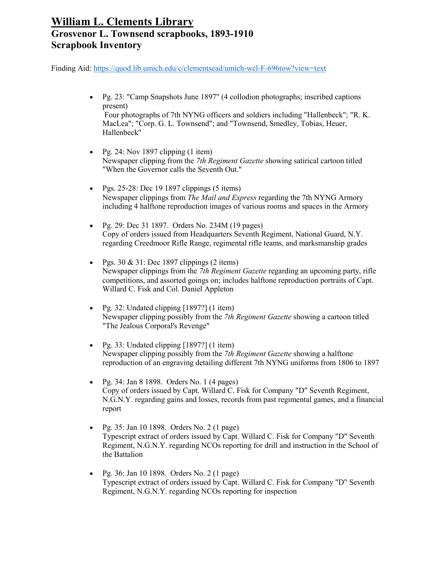Finding Aid:<https://quod.lib.umich.edu/c/clementsead/umich-wcl-F-696tow?view=text>

• Pg. 23: "Camp Snapshots June 1897" (4 collodion photographs; inscribed captions present)

Four photographs of 7th NYNG officers and soldiers including "Hallenbeck"; "R. K. MacLea"; "Corp. G. L. Townsend"; and "Townsend, Smedley, Tobias, Heuer, Hallenbeck"

- Pg. 24: Nov 1897 clipping  $(1$  item) Newspaper clipping from the *7th Regiment Gazette* showing satirical cartoon titled "When the Governor calls the Seventh Out."
- Pgs.  $25-28$ : Dec 19 1897 clippings (5 items) Newspaper clippings from *The Mail and Express* regarding the 7th NYNG Armory including 4 halftone reproduction images of various rooms and spaces in the Armory
- Pg. 29: Dec 31 1897. Orders No. 234M (19 pages) Copy of orders issued from Headquarters Seventh Regiment, National Guard, N.Y. regarding Creedmoor Rifle Range, regimental rifle teams, and marksmanship grades
- Pgs.  $30 \& 31$ : Dec 1897 clippings (2 items) Newspaper clippings from the *7th Regiment Gazette* regarding an upcoming party, rifle competitions, and assorted goings on; includes halftone reproduction portraits of Capt. Willard C. Fisk and Col. Daniel Appleton
- Pg. 32: Undated clipping  $[1897?]$  (1 item) Newspaper clipping possibly from the *7th Regiment Gazette* showing a cartoon titled "The Jealous Corporal's Revenge"
- Pg. 33: Undated clipping  $[1897?]$  (1 item) Newspaper clipping possibly from the *7th Regiment Gazette* showing a halftone reproduction of an engraving detailing different 7th NYNG uniforms from 1806 to 1897
- Pg. 34: Jan 8 1898. Orders No. 1 (4 pages) Copy of orders issued by Capt. Willard C. Fisk for Company "D" Seventh Regiment, N.G.N.Y. regarding gains and losses, records from past regimental games, and a financial report
- Pg. 35: Jan 10 1898. Orders No. 2 (1 page) Typescript extract of orders issued by Capt. Willard C. Fisk for Company "D" Seventh Regiment, N.G.N.Y. regarding NCOs reporting for drill and instruction in the School of the Battalion
- Pg. 36: Jan 10 1898. Orders No. 2 (1 page) Typescript extract of orders issued by Capt. Willard C. Fisk for Company "D" Seventh Regiment, N.G.N.Y. regarding NCOs reporting for inspection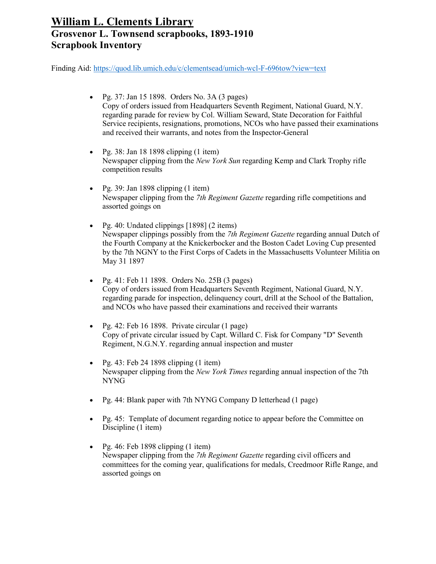- Pg. 37: Jan 15 1898. Orders No. 3A (3 pages) Copy of orders issued from Headquarters Seventh Regiment, National Guard, N.Y. regarding parade for review by Col. William Seward, State Decoration for Faithful Service recipients, resignations, promotions, NCOs who have passed their examinations and received their warrants, and notes from the Inspector-General
- Pg. 38: Jan 18 1898 clipping  $(1$  item) Newspaper clipping from the *New York Sun* regarding Kemp and Clark Trophy rifle competition results
- Pg. 39: Jan 1898 clipping  $(1$  item) Newspaper clipping from the *7th Regiment Gazette* regarding rifle competitions and assorted goings on
- Pg. 40: Undated clippings [1898] (2 items) Newspaper clippings possibly from the *7th Regiment Gazette* regarding annual Dutch of the Fourth Company at the Knickerbocker and the Boston Cadet Loving Cup presented by the 7th NGNY to the First Corps of Cadets in the Massachusetts Volunteer Militia on May 31 1897
- Pg. 41: Feb 11 1898. Orders No. 25B  $(3 \text{ pages})$ Copy of orders issued from Headquarters Seventh Regiment, National Guard, N.Y. regarding parade for inspection, delinquency court, drill at the School of the Battalion, and NCOs who have passed their examinations and received their warrants
- Pg. 42: Feb 16 1898. Private circular (1 page) Copy of private circular issued by Capt. Willard C. Fisk for Company "D" Seventh Regiment, N.G.N.Y. regarding annual inspection and muster
- Pg. 43: Feb 24 1898 clipping (1 item) Newspaper clipping from the *New York Times* regarding annual inspection of the 7th NYNG
- Pg. 44: Blank paper with 7th NYNG Company D letterhead (1 page)
- Pg. 45: Template of document regarding notice to appear before the Committee on Discipline (1 item)
- Pg. 46: Feb 1898 clipping (1 item) Newspaper clipping from the *7th Regiment Gazette* regarding civil officers and committees for the coming year, qualifications for medals, Creedmoor Rifle Range, and assorted goings on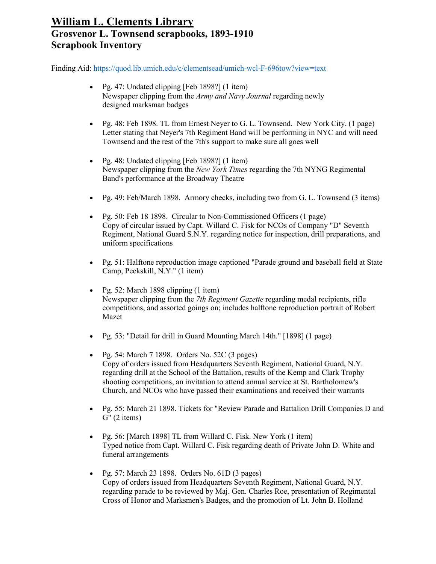- Pg. 47: Undated clipping [Feb 1898?] (1 item) Newspaper clipping from the *Army and Navy Journal* regarding newly designed marksman badges
- Pg. 48: Feb 1898. TL from Ernest Neyer to G. L. Townsend. New York City. (1 page) Letter stating that Neyer's 7th Regiment Band will be performing in NYC and will need Townsend and the rest of the 7th's support to make sure all goes well
- Pg. 48: Undated clipping [Feb 1898?] (1 item) Newspaper clipping from the *New York Times* regarding the 7th NYNG Regimental Band's performance at the Broadway Theatre
- Pg. 49: Feb/March 1898. Armory checks, including two from G. L. Townsend (3 items)
- Pg. 50: Feb 18 1898. Circular to Non-Commissioned Officers (1 page) Copy of circular issued by Capt. Willard C. Fisk for NCOs of Company "D" Seventh Regiment, National Guard S.N.Y. regarding notice for inspection, drill preparations, and uniform specifications
- Pg. 51: Halftone reproduction image captioned "Parade ground and baseball field at State Camp, Peekskill, N.Y." (1 item)
- Pg. 52: March 1898 clipping (1 item) Newspaper clipping from the *7th Regiment Gazette* regarding medal recipients, rifle competitions, and assorted goings on; includes halftone reproduction portrait of Robert Mazet
- Pg. 53: "Detail for drill in Guard Mounting March 14th." [1898] (1 page)
- Pg. 54: March  $7$  1898. Orders No. 52C (3 pages) Copy of orders issued from Headquarters Seventh Regiment, National Guard, N.Y. regarding drill at the School of the Battalion, results of the Kemp and Clark Trophy shooting competitions, an invitation to attend annual service at St. Bartholomew's Church, and NCOs who have passed their examinations and received their warrants
- Pg. 55: March 21 1898. Tickets for "Review Parade and Battalion Drill Companies D and G" (2 items)
- Pg. 56: [March 1898] TL from Willard C. Fisk. New York (1 item) Typed notice from Capt. Willard C. Fisk regarding death of Private John D. White and funeral arrangements
- Pg. 57: March 23 1898. Orders No.  $61D(3$  pages) Copy of orders issued from Headquarters Seventh Regiment, National Guard, N.Y. regarding parade to be reviewed by Maj. Gen. Charles Roe, presentation of Regimental Cross of Honor and Marksmen's Badges, and the promotion of Lt. John B. Holland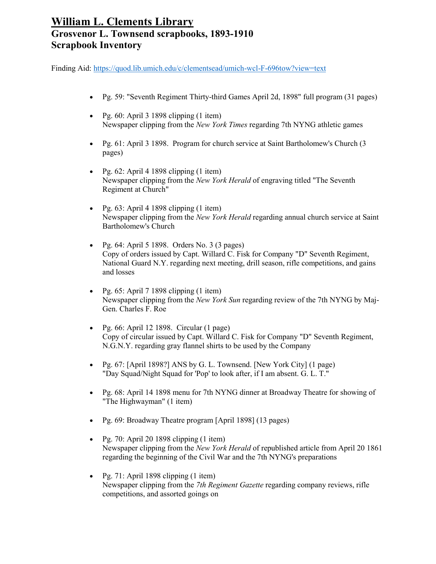- Pg. 59: "Seventh Regiment Thirty-third Games April 2d, 1898" full program (31 pages)
- Pg.  $60:$  April 3 1898 clipping  $(1$  item) Newspaper clipping from the *New York Times* regarding 7th NYNG athletic games
- Pg. 61: April 3 1898. Program for church service at Saint Bartholomew's Church (3 pages)
- Pg.  $62$ : April 4 1898 clipping  $(1$  item) Newspaper clipping from the *New York Herald* of engraving titled "The Seventh Regiment at Church"
- Pg.  $63:$  April 4 1898 clipping  $(1$  item) Newspaper clipping from the *New York Herald* regarding annual church service at Saint Bartholomew's Church
- Pg.  $64$ : April 5 1898. Orders No. 3 (3 pages) Copy of orders issued by Capt. Willard C. Fisk for Company "D" Seventh Regiment, National Guard N.Y. regarding next meeting, drill season, rifle competitions, and gains and losses
- Pg.  $65$ : April 7 1898 clipping (1 item) Newspaper clipping from the *New York Sun* regarding review of the 7th NYNG by Maj-Gen. Charles F. Roe
- Pg.  $66$ : April 12 1898. Circular (1 page) Copy of circular issued by Capt. Willard C. Fisk for Company "D" Seventh Regiment, N.G.N.Y. regarding gray flannel shirts to be used by the Company
- Pg. 67: [April 1898?] ANS by G. L. Townsend. [New York City]  $(1 \text{ page})$ "Day Squad/Night Squad for 'Pop' to look after, if I am absent. G. L. T."
- Pg. 68: April 14 1898 menu for 7th NYNG dinner at Broadway Theatre for showing of "The Highwayman" (1 item)
- Pg. 69: Broadway Theatre program [April 1898] (13 pages)
- Pg. 70: April 20 1898 clipping  $(1$  item) Newspaper clipping from the *New York Herald* of republished article from April 20 1861 regarding the beginning of the Civil War and the 7th NYNG's preparations
- Pg. 71: April 1898 clipping  $(1$  item) Newspaper clipping from the *7th Regiment Gazette* regarding company reviews, rifle competitions, and assorted goings on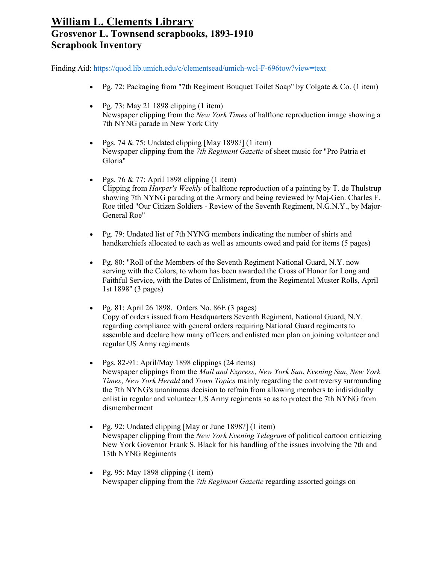- Pg. 72: Packaging from "7th Regiment Bouquet Toilet Soap" by Colgate & Co. (1 item)
- Pg. 73: May 21 1898 clipping  $(1$  item) Newspaper clipping from the *New York Times* of halftone reproduction image showing a 7th NYNG parade in New York City
- Pgs. 74  $& 75$ : Undated clipping [May 1898?] (1 item) Newspaper clipping from the *7th Regiment Gazette* of sheet music for "Pro Patria et Gloria"
- Pgs. 76 & 77: April 1898 clipping  $(1$  item) Clipping from *Harper's Weekly* of halftone reproduction of a painting by T. de Thulstrup showing 7th NYNG parading at the Armory and being reviewed by Maj-Gen. Charles F. Roe titled "Our Citizen Soldiers - Review of the Seventh Regiment, N.G.N.Y., by Major-General Roe"
- Pg. 79: Undated list of 7th NYNG members indicating the number of shirts and handkerchiefs allocated to each as well as amounts owed and paid for items (5 pages)
- Pg. 80: "Roll of the Members of the Seventh Regiment National Guard, N.Y. now serving with the Colors, to whom has been awarded the Cross of Honor for Long and Faithful Service, with the Dates of Enlistment, from the Regimental Muster Rolls, April 1st 1898" (3 pages)
- Pg. 81: April 26 1898. Orders No. 86E (3 pages) Copy of orders issued from Headquarters Seventh Regiment, National Guard, N.Y. regarding compliance with general orders requiring National Guard regiments to assemble and declare how many officers and enlisted men plan on joining volunteer and regular US Army regiments
- Pgs. 82-91: April/May 1898 clippings (24 items) Newspaper clippings from the *Mail and Express*, *New York Sun*, *Evening Sun*, *New York Times*, *New York Herald* and *Town Topics* mainly regarding the controversy surrounding the 7th NYNG's unanimous decision to refrain from allowing members to individually enlist in regular and volunteer US Army regiments so as to protect the 7th NYNG from dismemberment
- Pg. 92: Undated clipping [May or June 1898?] (1 item) Newspaper clipping from the *New York Evening Telegram* of political cartoon criticizing New York Governor Frank S. Black for his handling of the issues involving the 7th and 13th NYNG Regiments
- Pg. 95: May 1898 clipping  $(1$  item) Newspaper clipping from the *7th Regiment Gazette* regarding assorted goings on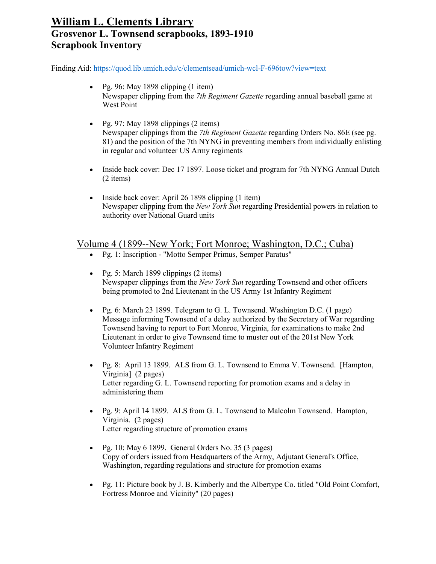Finding Aid:<https://quod.lib.umich.edu/c/clementsead/umich-wcl-F-696tow?view=text>

- Pg. 96: May 1898 clipping (1 item) Newspaper clipping from the *7th Regiment Gazette* regarding annual baseball game at West Point
- Pg. 97: May 1898 clippings (2 items) Newspaper clippings from the *7th Regiment Gazette* regarding Orders No. 86E (see pg. 81) and the position of the 7th NYNG in preventing members from individually enlisting in regular and volunteer US Army regiments
- Inside back cover: Dec 17 1897. Loose ticket and program for 7th NYNG Annual Dutch (2 items)
- Inside back cover: April 26 1898 clipping (1 item) Newspaper clipping from the *New York Sun* regarding Presidential powers in relation to authority over National Guard units

#### Volume 4 (1899--New York; Fort Monroe; Washington, D.C.; Cuba)

- Pg. 1: Inscription "Motto Semper Primus, Semper Paratus"
- Pg. 5: March 1899 clippings (2 items) Newspaper clippings from the *New York Sun* regarding Townsend and other officers being promoted to 2nd Lieutenant in the US Army 1st Infantry Regiment
- Pg. 6: March 23 1899. Telegram to G. L. Townsend. Washington D.C. (1 page) Message informing Townsend of a delay authorized by the Secretary of War regarding Townsend having to report to Fort Monroe, Virginia, for examinations to make 2nd Lieutenant in order to give Townsend time to muster out of the 201st New York Volunteer Infantry Regiment
- Pg. 8: April 13 1899. ALS from G. L. Townsend to Emma V. Townsend. [Hampton, Virginia] (2 pages) Letter regarding G. L. Townsend reporting for promotion exams and a delay in administering them
- Pg. 9: April 14 1899. ALS from G. L. Townsend to Malcolm Townsend. Hampton, Virginia. (2 pages) Letter regarding structure of promotion exams
- Pg. 10: May  $6$  1899. General Orders No. 35 (3 pages) Copy of orders issued from Headquarters of the Army, Adjutant General's Office, Washington, regarding regulations and structure for promotion exams
- Pg. 11: Picture book by J. B. Kimberly and the Albertype Co. titled "Old Point Comfort, Fortress Monroe and Vicinity" (20 pages)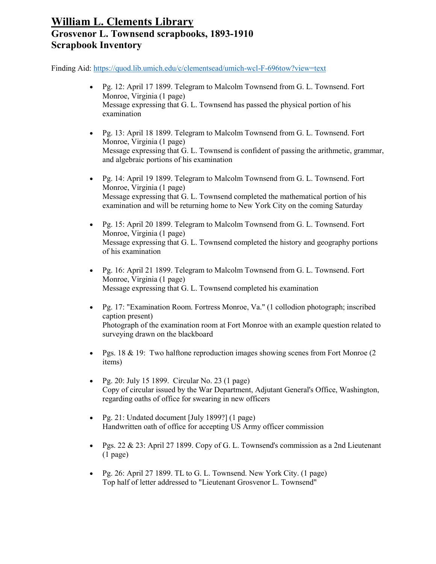- Pg. 12: April 17 1899. Telegram to Malcolm Townsend from G. L. Townsend. Fort Monroe, Virginia (1 page) Message expressing that G. L. Townsend has passed the physical portion of his examination
- Pg. 13: April 18 1899. Telegram to Malcolm Townsend from G. L. Townsend. Fort Monroe, Virginia (1 page) Message expressing that G. L. Townsend is confident of passing the arithmetic, grammar, and algebraic portions of his examination
- Pg. 14: April 19 1899. Telegram to Malcolm Townsend from G. L. Townsend. Fort Monroe, Virginia (1 page) Message expressing that G. L. Townsend completed the mathematical portion of his examination and will be returning home to New York City on the coming Saturday
- Pg. 15: April 20 1899. Telegram to Malcolm Townsend from G. L. Townsend. Fort Monroe, Virginia (1 page) Message expressing that G. L. Townsend completed the history and geography portions of his examination
- Pg. 16: April 21 1899. Telegram to Malcolm Townsend from G. L. Townsend. Fort Monroe, Virginia (1 page) Message expressing that G. L. Townsend completed his examination
- Pg. 17: "Examination Room. Fortress Monroe, Va." (1 collodion photograph; inscribed caption present) Photograph of the examination room at Fort Monroe with an example question related to surveying drawn on the blackboard
- Pgs. 18 & 19: Two halftone reproduction images showing scenes from Fort Monroe (2) items)
- Pg. 20: July 15 1899. Circular No. 23 (1 page) Copy of circular issued by the War Department, Adjutant General's Office, Washington, regarding oaths of office for swearing in new officers
- Pg. 21: Undated document [July 1899?] (1 page) Handwritten oath of office for accepting US Army officer commission
- Pgs.  $22 \& 23$ : April 27 1899. Copy of G. L. Townsend's commission as a 2nd Lieutenant (1 page)
- Pg. 26: April 27 1899. TL to G. L. Townsend. New York City. (1 page) Top half of letter addressed to "Lieutenant Grosvenor L. Townsend"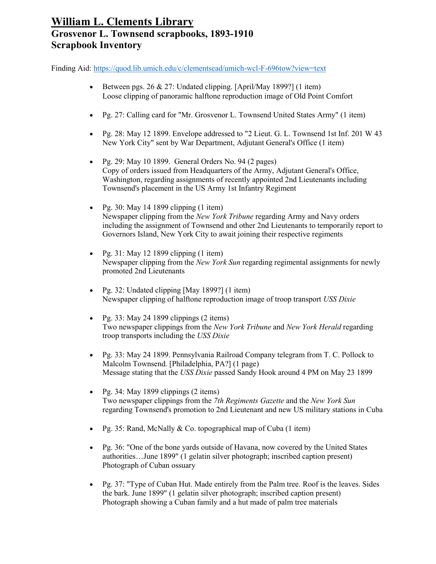- Between pgs.  $26 \& 27$ : Undated clipping. [April/May 1899?] (1 item) Loose clipping of panoramic halftone reproduction image of Old Point Comfort
- Pg. 27: Calling card for "Mr. Grosvenor L. Townsend United States Army" (1 item)
- Pg. 28: May 12 1899. Envelope addressed to "2 Lieut. G. L. Townsend 1st Inf. 201 W 43 New York City" sent by War Department, Adjutant General's Office (1 item)
- Pg. 29: May 10 1899. General Orders No. 94 (2 pages) Copy of orders issued from Headquarters of the Army, Adjutant General's Office, Washington, regarding assignments of recently appointed 2nd Lieutenants including Townsend's placement in the US Army 1st Infantry Regiment
- Pg. 30: May 14 1899 clipping  $(1$  item) Newspaper clipping from the *New York Tribune* regarding Army and Navy orders including the assignment of Townsend and other 2nd Lieutenants to temporarily report to Governors Island, New York City to await joining their respective regiments
- Pg. 31: May 12 1899 clipping  $(1$  item) Newspaper clipping from the *New York Sun* regarding regimental assignments for newly promoted 2nd Lieutenants
- Pg. 32: Undated clipping [May 1899?] (1 item) Newspaper clipping of halftone reproduction image of troop transport *USS Dixie*
- Pg. 33: May 24 1899 clippings  $(2 \text{ items})$ Two newspaper clippings from the *New York Tribune* and *New York Herald* regarding troop transports including the *USS Dixie*
- Pg. 33: May 24 1899. Pennsylvania Railroad Company telegram from T. C. Pollock to Malcolm Townsend. [Philadelphia, PA?] (1 page) Message stating that the *USS Dixie* passed Sandy Hook around 4 PM on May 23 1899
- Pg. 34: May 1899 clippings (2 items) Two newspaper clippings from the *7th Regiments Gazette* and the *New York Sun* regarding Townsend's promotion to 2nd Lieutenant and new US military stations in Cuba
- Pg. 35: Rand, McNally & Co. topographical map of Cuba (1 item)
- Pg. 36: "One of the bone yards outside of Havana, now covered by the United States authorities…June 1899" (1 gelatin silver photograph; inscribed caption present) Photograph of Cuban ossuary
- Pg. 37: "Type of Cuban Hut. Made entirely from the Palm tree. Roof is the leaves. Sides the bark. June 1899" (1 gelatin silver photograph; inscribed caption present) Photograph showing a Cuban family and a hut made of palm tree materials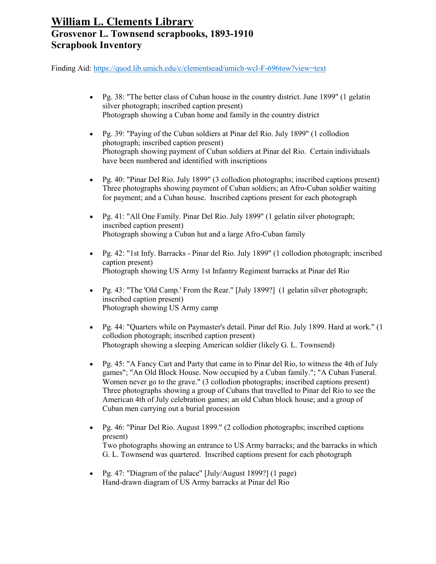- Pg. 38: "The better class of Cuban house in the country district. June 1899" (1 gelatin silver photograph; inscribed caption present) Photograph showing a Cuban home and family in the country district
- Pg. 39: "Paying of the Cuban soldiers at Pinar del Rio. July 1899" (1 collodion photograph; inscribed caption present) Photograph showing payment of Cuban soldiers at Pinar del Rio. Certain individuals have been numbered and identified with inscriptions
- Pg. 40: "Pinar Del Rio. July 1899" (3 collodion photographs; inscribed captions present) Three photographs showing payment of Cuban soldiers; an Afro-Cuban soldier waiting for payment; and a Cuban house. Inscribed captions present for each photograph
- Pg. 41: "All One Family. Pinar Del Rio. July 1899" (1 gelatin silver photograph; inscribed caption present) Photograph showing a Cuban hut and a large Afro-Cuban family
- Pg. 42: "1st Infy. Barracks Pinar del Rio. July 1899" (1 collodion photograph; inscribed caption present) Photograph showing US Army 1st Infantry Regiment barracks at Pinar del Rio
- Pg. 43: "The 'Old Camp.' From the Rear." [July 1899?] (1 gelatin silver photograph; inscribed caption present) Photograph showing US Army camp
- Pg. 44: "Quarters while on Paymaster's detail. Pinar del Rio. July 1899. Hard at work." (1 collodion photograph; inscribed caption present) Photograph showing a sleeping American soldier (likely G. L. Townsend)
- Pg. 45: "A Fancy Cart and Party that came in to Pinar del Rio, to witness the 4th of July games"; "An Old Block House. Now occupied by a Cuban family."; "A Cuban Funeral. Women never go to the grave." (3 collodion photographs; inscribed captions present) Three photographs showing a group of Cubans that travelled to Pinar del Rio to see the American 4th of July celebration games; an old Cuban block house; and a group of Cuban men carrying out a burial procession
- Pg. 46: "Pinar Del Rio. August 1899." (2 collodion photographs; inscribed captions present) Two photographs showing an entrance to US Army barracks; and the barracks in which G. L. Townsend was quartered. Inscribed captions present for each photograph
- Pg. 47: "Diagram of the palace" [July/August 1899?] (1 page) Hand-drawn diagram of US Army barracks at Pinar del Rio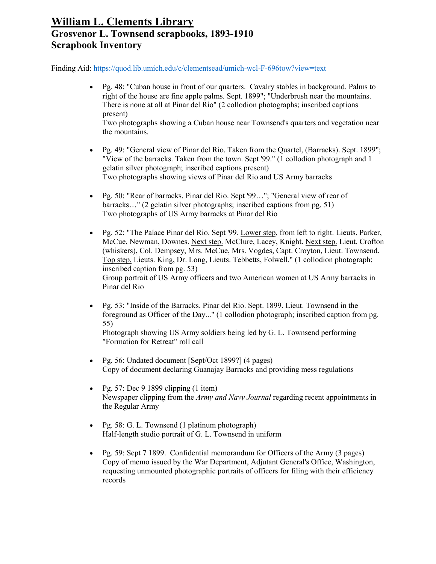Finding Aid:<https://quod.lib.umich.edu/c/clementsead/umich-wcl-F-696tow?view=text>

- Pg. 48: "Cuban house in front of our quarters. Cavalry stables in background. Palms to right of the house are fine apple palms. Sept. 1899"; "Underbrush near the mountains. There is none at all at Pinar del Rio" (2 collodion photographs; inscribed captions present) Two photographs showing a Cuban house near Townsend's quarters and vegetation near the mountains.
- Pg. 49: "General view of Pinar del Rio. Taken from the Quartel, (Barracks). Sept. 1899"; "View of the barracks. Taken from the town. Sept '99." (1 collodion photograph and 1 gelatin silver photograph; inscribed captions present) Two photographs showing views of Pinar del Rio and US Army barracks
- Pg. 50: "Rear of barracks. Pinar del Rio. Sept '99…"; "General view of rear of barracks…" (2 gelatin silver photographs; inscribed captions from pg. 51) Two photographs of US Army barracks at Pinar del Rio
- Pg. 52: "The Palace Pinar del Rio. Sept '99. Lower step, from left to right. Lieuts. Parker, McCue, Newman, Downes. Next step. McClure, Lacey, Knight. Next step. Lieut. Crofton (whiskers), Col. Dempsey, Mrs. McCue, Mrs. Vogdes, Capt. Croyton, Lieut. Townsend. Top step. Lieuts. King, Dr. Long, Lieuts. Tebbetts, Folwell." (1 collodion photograph; inscribed caption from pg. 53) Group portrait of US Army officers and two American women at US Army barracks in Pinar del Rio
- Pg. 53: "Inside of the Barracks. Pinar del Rio. Sept. 1899. Lieut. Townsend in the foreground as Officer of the Day..." (1 collodion photograph; inscribed caption from pg. 55)

Photograph showing US Army soldiers being led by G. L. Townsend performing "Formation for Retreat" roll call

- Pg. 56: Undated document [Sept/Oct 1899?] (4 pages) Copy of document declaring Guanajay Barracks and providing mess regulations
- Pg. 57: Dec 9 1899 clipping  $(1$  item) Newspaper clipping from the *Army and Navy Journal* regarding recent appointments in the Regular Army
- Pg. 58: G. L. Townsend (1 platinum photograph) Half-length studio portrait of G. L. Townsend in uniform
- Pg. 59: Sept 7 1899. Confidential memorandum for Officers of the Army (3 pages) Copy of memo issued by the War Department, Adjutant General's Office, Washington, requesting unmounted photographic portraits of officers for filing with their efficiency records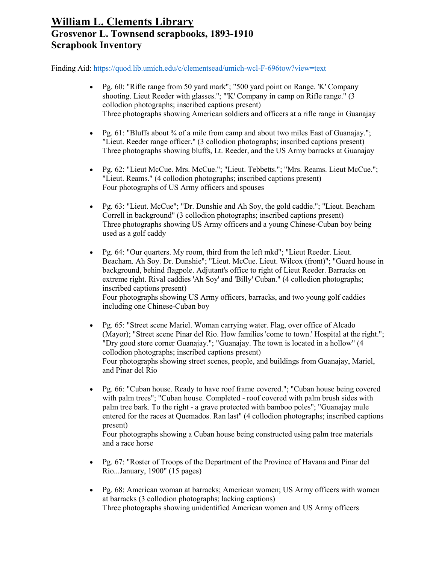Finding Aid:<https://quod.lib.umich.edu/c/clementsead/umich-wcl-F-696tow?view=text>

- Pg. 60: "Rifle range from 50 yard mark"; "500 yard point on Range. 'K' Company shooting. Lieut Reeder with glasses."; "'K' Company in camp on Rifle range." (3 collodion photographs; inscribed captions present) Three photographs showing American soldiers and officers at a rifle range in Guanajay
- Pg.  $61:$  "Bluffs about  $\frac{3}{4}$  of a mile from camp and about two miles East of Guanajay."; "Lieut. Reeder range officer." (3 collodion photographs; inscribed captions present) Three photographs showing bluffs, Lt. Reeder, and the US Army barracks at Guanajay
- Pg. 62: "Lieut McCue. Mrs. McCue."; "Lieut. Tebbetts."; "Mrs. Reams. Lieut McCue."; "Lieut. Reams." (4 collodion photographs; inscribed captions present) Four photographs of US Army officers and spouses
- Pg. 63: "Lieut. McCue"; "Dr. Dunshie and Ah Soy, the gold caddie."; "Lieut. Beacham Correll in background" (3 collodion photographs; inscribed captions present) Three photographs showing US Army officers and a young Chinese-Cuban boy being used as a golf caddy
- Pg. 64: "Our quarters. My room, third from the left mkd"; "Lieut Reeder. Lieut. Beacham. Ah Soy. Dr. Dunshie"; "Lieut. McCue. Lieut. Wilcox (front)"; "Guard house in background, behind flagpole. Adjutant's office to right of Lieut Reeder. Barracks on extreme right. Rival caddies 'Ah Soy' and 'Billy' Cuban." (4 collodion photographs; inscribed captions present) Four photographs showing US Army officers, barracks, and two young golf caddies including one Chinese-Cuban boy
- Pg. 65: "Street scene Mariel. Woman carrying water. Flag, over office of Alcado (Mayor); "Street scene Pinar del Rio. How families 'come to town.' Hospital at the right."; "Dry good store corner Guanajay."; "Guanajay. The town is located in a hollow" (4 collodion photographs; inscribed captions present) Four photographs showing street scenes, people, and buildings from Guanajay, Mariel, and Pinar del Rio
- Pg. 66: "Cuban house. Ready to have roof frame covered."; "Cuban house being covered with palm trees"; "Cuban house. Completed - roof covered with palm brush sides with palm tree bark. To the right - a grave protected with bamboo poles"; "Guanajay mule entered for the races at Quemados. Ran last" (4 collodion photographs; inscribed captions present)

Four photographs showing a Cuban house being constructed using palm tree materials and a race horse

- Pg. 67: "Roster of Troops of the Department of the Province of Havana and Pinar del Rio...January, 1900" (15 pages)
- Pg. 68: American woman at barracks; American women; US Army officers with women at barracks (3 collodion photographs; lacking captions) Three photographs showing unidentified American women and US Army officers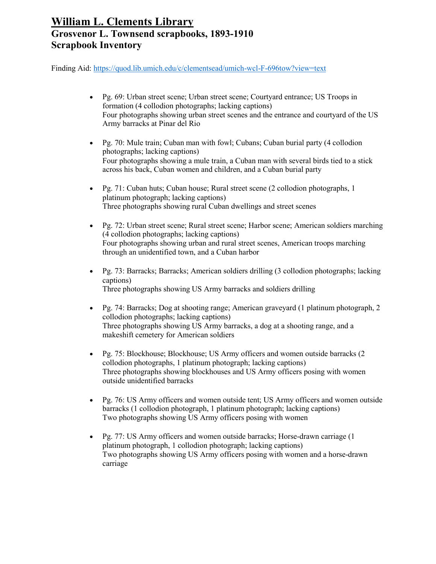- Pg. 69: Urban street scene; Urban street scene; Courtyard entrance; US Troops in formation (4 collodion photographs; lacking captions) Four photographs showing urban street scenes and the entrance and courtyard of the US Army barracks at Pinar del Rio
- Pg. 70: Mule train; Cuban man with fowl; Cubans; Cuban burial party (4 collodion photographs; lacking captions) Four photographs showing a mule train, a Cuban man with several birds tied to a stick across his back, Cuban women and children, and a Cuban burial party
- Pg. 71: Cuban huts; Cuban house; Rural street scene (2 collodion photographs, 1 platinum photograph; lacking captions) Three photographs showing rural Cuban dwellings and street scenes
- Pg. 72: Urban street scene; Rural street scene; Harbor scene; American soldiers marching (4 collodion photographs; lacking captions) Four photographs showing urban and rural street scenes, American troops marching through an unidentified town, and a Cuban harbor
- Pg. 73: Barracks; Barracks; American soldiers drilling (3 collodion photographs; lacking captions) Three photographs showing US Army barracks and soldiers drilling
- Pg. 74: Barracks; Dog at shooting range; American graveyard (1 platinum photograph, 2 collodion photographs; lacking captions) Three photographs showing US Army barracks, a dog at a shooting range, and a makeshift cemetery for American soldiers
- Pg. 75: Blockhouse; Blockhouse; US Army officers and women outside barracks (2 collodion photographs, 1 platinum photograph; lacking captions) Three photographs showing blockhouses and US Army officers posing with women outside unidentified barracks
- Pg. 76: US Army officers and women outside tent; US Army officers and women outside barracks (1 collodion photograph, 1 platinum photograph; lacking captions) Two photographs showing US Army officers posing with women
- Pg. 77: US Army officers and women outside barracks; Horse-drawn carriage (1 platinum photograph, 1 collodion photograph; lacking captions) Two photographs showing US Army officers posing with women and a horse-drawn carriage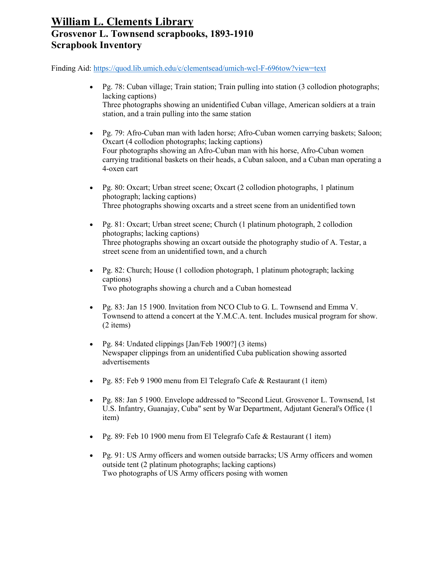- Pg. 78: Cuban village; Train station; Train pulling into station (3 collodion photographs; lacking captions) Three photographs showing an unidentified Cuban village, American soldiers at a train station, and a train pulling into the same station
- Pg. 79: Afro-Cuban man with laden horse; Afro-Cuban women carrying baskets; Saloon; Oxcart (4 collodion photographs; lacking captions) Four photographs showing an Afro-Cuban man with his horse, Afro-Cuban women carrying traditional baskets on their heads, a Cuban saloon, and a Cuban man operating a 4-oxen cart
- Pg. 80: Oxcart; Urban street scene; Oxcart (2 collodion photographs, 1 platinum photograph; lacking captions) Three photographs showing oxcarts and a street scene from an unidentified town
- Pg. 81: Oxcart; Urban street scene; Church (1 platinum photograph, 2 collodion photographs; lacking captions) Three photographs showing an oxcart outside the photography studio of A. Testar, a street scene from an unidentified town, and a church
- Pg. 82: Church; House (1 collodion photograph, 1 platinum photograph; lacking captions) Two photographs showing a church and a Cuban homestead
- Pg. 83: Jan 15 1900. Invitation from NCO Club to G. L. Townsend and Emma V. Townsend to attend a concert at the Y.M.C.A. tent. Includes musical program for show. (2 items)
- Pg. 84: Undated clippings [Jan/Feb 1900?] (3 items) Newspaper clippings from an unidentified Cuba publication showing assorted advertisements
- Pg. 85: Feb 9 1900 menu from El Telegrafo Cafe & Restaurant (1 item)
- Pg. 88: Jan 5 1900. Envelope addressed to "Second Lieut. Grosvenor L. Townsend, 1st U.S. Infantry, Guanajay, Cuba" sent by War Department, Adjutant General's Office (1 item)
- Pg. 89: Feb 10 1900 menu from El Telegrafo Cafe & Restaurant (1 item)
- Pg. 91: US Army officers and women outside barracks; US Army officers and women outside tent (2 platinum photographs; lacking captions) Two photographs of US Army officers posing with women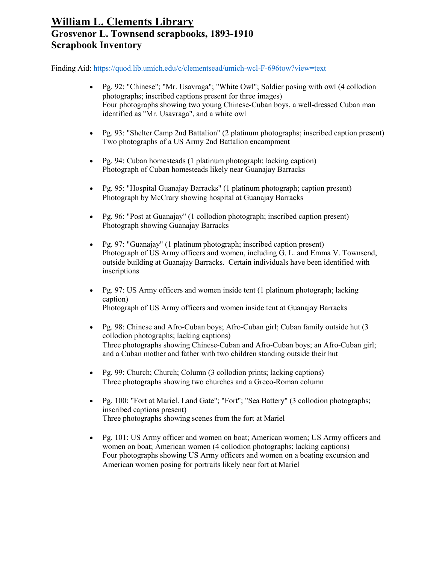- Pg. 92: "Chinese"; "Mr. Usavraga"; "White Owl"; Soldier posing with owl (4 collodion photographs; inscribed captions present for three images) Four photographs showing two young Chinese-Cuban boys, a well-dressed Cuban man identified as "Mr. Usavraga", and a white owl
- Pg. 93: "Shelter Camp 2nd Battalion" (2 platinum photographs; inscribed caption present) Two photographs of a US Army 2nd Battalion encampment
- Pg. 94: Cuban homesteads (1 platinum photograph; lacking caption) Photograph of Cuban homesteads likely near Guanajay Barracks
- Pg. 95: "Hospital Guanajay Barracks" (1 platinum photograph; caption present) Photograph by McCrary showing hospital at Guanajay Barracks
- Pg. 96: "Post at Guanajay" (1 collodion photograph; inscribed caption present) Photograph showing Guanajay Barracks
- Pg. 97: "Guanajay" (1 platinum photograph; inscribed caption present) Photograph of US Army officers and women, including G. L. and Emma V. Townsend, outside building at Guanajay Barracks. Certain individuals have been identified with inscriptions
- Pg. 97: US Army officers and women inside tent (1 platinum photograph; lacking caption) Photograph of US Army officers and women inside tent at Guanajay Barracks
- Pg. 98: Chinese and Afro-Cuban boys; Afro-Cuban girl; Cuban family outside hut (3) collodion photographs; lacking captions) Three photographs showing Chinese-Cuban and Afro-Cuban boys; an Afro-Cuban girl; and a Cuban mother and father with two children standing outside their hut
- Pg. 99: Church; Church; Column (3 collodion prints; lacking captions) Three photographs showing two churches and a Greco-Roman column
- Pg. 100: "Fort at Mariel. Land Gate"; "Fort"; "Sea Battery" (3 collodion photographs; inscribed captions present) Three photographs showing scenes from the fort at Mariel
- Pg. 101: US Army officer and women on boat; American women; US Army officers and women on boat; American women (4 collodion photographs; lacking captions) Four photographs showing US Army officers and women on a boating excursion and American women posing for portraits likely near fort at Mariel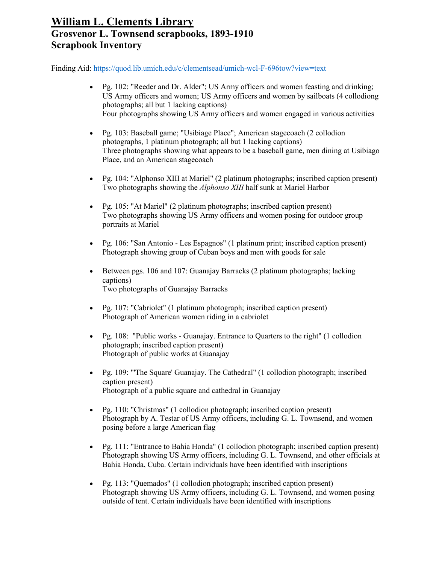- Pg. 102: "Reeder and Dr. Alder"; US Army officers and women feasting and drinking; US Army officers and women; US Army officers and women by sailboats (4 collodiong photographs; all but 1 lacking captions) Four photographs showing US Army officers and women engaged in various activities
- Pg. 103: Baseball game; "Usibiage Place"; American stagecoach (2 collodion photographs, 1 platinum photograph; all but 1 lacking captions) Three photographs showing what appears to be a baseball game, men dining at Usibiago Place, and an American stagecoach
- Pg. 104: "Alphonso XIII at Mariel" (2 platinum photographs; inscribed caption present) Two photographs showing the *Alphonso XIII* half sunk at Mariel Harbor
- Pg. 105: "At Mariel" (2 platinum photographs; inscribed caption present) Two photographs showing US Army officers and women posing for outdoor group portraits at Mariel
- Pg. 106: "San Antonio Les Espagnos" (1 platinum print; inscribed caption present) Photograph showing group of Cuban boys and men with goods for sale
- Between pgs. 106 and 107: Guanajay Barracks (2 platinum photographs; lacking captions) Two photographs of Guanajay Barracks
- Pg. 107: "Cabriolet" (1 platinum photograph; inscribed caption present) Photograph of American women riding in a cabriolet
- Pg. 108: "Public works Guanajay. Entrance to Quarters to the right" (1 collodion photograph; inscribed caption present) Photograph of public works at Guanajay
- Pg. 109: "'The Square' Guanajay. The Cathedral" (1 collodion photograph; inscribed caption present) Photograph of a public square and cathedral in Guanajay
- Pg. 110: "Christmas" (1 collodion photograph; inscribed caption present) Photograph by A. Testar of US Army officers, including G. L. Townsend, and women posing before a large American flag
- Pg. 111: "Entrance to Bahia Honda" (1 collodion photograph; inscribed caption present) Photograph showing US Army officers, including G. L. Townsend, and other officials at Bahia Honda, Cuba. Certain individuals have been identified with inscriptions
- Pg. 113: "Quemados" (1 collodion photograph; inscribed caption present) Photograph showing US Army officers, including G. L. Townsend, and women posing outside of tent. Certain individuals have been identified with inscriptions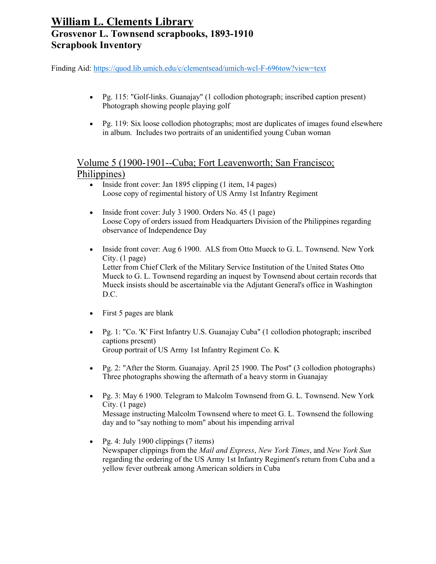Finding Aid:<https://quod.lib.umich.edu/c/clementsead/umich-wcl-F-696tow?view=text>

- Pg. 115: "Golf-links. Guanajay" (1 collodion photograph; inscribed caption present) Photograph showing people playing golf
- Pg. 119: Six loose collodion photographs; most are duplicates of images found elsewhere in album. Includes two portraits of an unidentified young Cuban woman

#### Volume 5 (1900-1901--Cuba; Fort Leavenworth; San Francisco; Philippines)

- Inside front cover: Jan 1895 clipping (1 item, 14 pages) Loose copy of regimental history of US Army 1st Infantry Regiment
- Inside front cover: July 3 1900. Orders No. 45 (1 page) Loose Copy of orders issued from Headquarters Division of the Philippines regarding observance of Independence Day
- Inside front cover: Aug 6 1900. ALS from Otto Mueck to G. L. Townsend. New York City. (1 page) Letter from Chief Clerk of the Military Service Institution of the United States Otto Mueck to G. L. Townsend regarding an inquest by Townsend about certain records that Mueck insists should be ascertainable via the Adjutant General's office in Washington D.C.
- First 5 pages are blank
- Pg. 1: "Co. 'K' First Infantry U.S. Guanajay Cuba" (1 collodion photograph; inscribed captions present) Group portrait of US Army 1st Infantry Regiment Co. K
- Pg. 2: "After the Storm. Guanajay. April 25 1900. The Post" (3 collodion photographs) Three photographs showing the aftermath of a heavy storm in Guanajay
- Pg. 3: May 6 1900. Telegram to Malcolm Townsend from G. L. Townsend. New York City. (1 page) Message instructing Malcolm Townsend where to meet G. L. Townsend the following day and to "say nothing to mom" about his impending arrival
- Pg. 4: July 1900 clippings  $(7 \text{ items})$ Newspaper clippings from the *Mail and Express*, *New York Times*, and *New York Sun* regarding the ordering of the US Army 1st Infantry Regiment's return from Cuba and a yellow fever outbreak among American soldiers in Cuba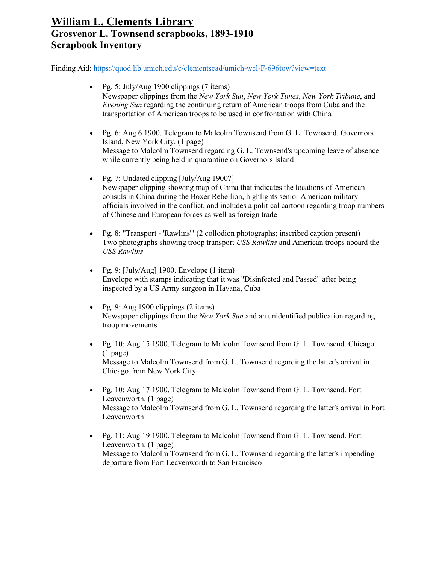- Pg. 5: July/Aug 1900 clippings (7 items) Newspaper clippings from the *New York Sun*, *New York Times*, *New York Tribune*, and *Evening Sun* regarding the continuing return of American troops from Cuba and the transportation of American troops to be used in confrontation with China
- Pg. 6: Aug 6 1900. Telegram to Malcolm Townsend from G. L. Townsend. Governors Island, New York City. (1 page) Message to Malcolm Townsend regarding G. L. Townsend's upcoming leave of absence while currently being held in quarantine on Governors Island
- Pg. 7: Undated clipping [July/Aug 1900?] Newspaper clipping showing map of China that indicates the locations of American consuls in China during the Boxer Rebellion, highlights senior American military officials involved in the conflict, and includes a political cartoon regarding troop numbers of Chinese and European forces as well as foreign trade
- Pg. 8: "Transport 'Rawlins'" (2 collodion photographs; inscribed caption present) Two photographs showing troop transport *USS Rawlins* and American troops aboard the *USS Rawlins*
- Pg. 9:  $\lceil \text{July/Aug} \rceil$  1900. Envelope (1 item) Envelope with stamps indicating that it was "Disinfected and Passed" after being inspected by a US Army surgeon in Havana, Cuba
- Pg. 9: Aug 1900 clippings  $(2 \text{ items})$ Newspaper clippings from the *New York Sun* and an unidentified publication regarding troop movements
- Pg. 10: Aug 15 1900. Telegram to Malcolm Townsend from G. L. Townsend. Chicago. (1 page) Message to Malcolm Townsend from G. L. Townsend regarding the latter's arrival in Chicago from New York City
- Pg. 10: Aug 17 1900. Telegram to Malcolm Townsend from G. L. Townsend. Fort Leavenworth. (1 page) Message to Malcolm Townsend from G. L. Townsend regarding the latter's arrival in Fort Leavenworth
- Pg. 11: Aug 19 1900. Telegram to Malcolm Townsend from G. L. Townsend. Fort Leavenworth. (1 page) Message to Malcolm Townsend from G. L. Townsend regarding the latter's impending departure from Fort Leavenworth to San Francisco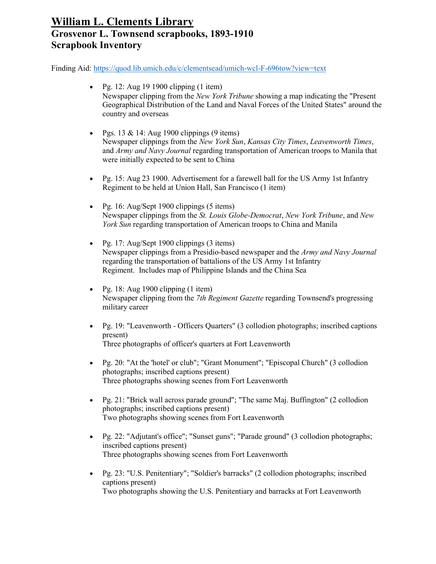- Pg. 12: Aug 19 1900 clipping  $(1$  item) Newspaper clipping from the *New York Tribune* showing a map indicating the "Present Geographical Distribution of the Land and Naval Forces of the United States" around the country and overseas
- Pgs. 13 & 14: Aug 1900 clippings  $(9 \text{ items})$ Newspaper clippings from the *New York Sun*, *Kansas City Times*, *Leavenworth Times*, and *Army and Navy Journal* regarding transportation of American troops to Manila that were initially expected to be sent to China
- Pg. 15: Aug 23 1900. Advertisement for a farewell ball for the US Army 1st Infantry Regiment to be held at Union Hall, San Francisco (1 item)
- Pg. 16: Aug/Sept 1900 clippings  $(5 \text{ items})$ Newspaper clippings from the *St. Louis Globe-Democrat*, *New York Tribune*, and *New York Sun* regarding transportation of American troops to China and Manila
- Pg. 17: Aug/Sept 1900 clippings (3 items) Newspaper clippings from a Presidio-based newspaper and the *Army and Navy Journal* regarding the transportation of battalions of the US Army 1st Infantry Regiment. Includes map of Philippine Islands and the China Sea
- Pg. 18: Aug 1900 clipping  $(1$  item) Newspaper clipping from the *7th Regiment Gazette* regarding Townsend's progressing military career
- Pg. 19: "Leavenworth Officers Quarters" (3 collodion photographs; inscribed captions present) Three photographs of officer's quarters at Fort Leavenworth
- Pg. 20: "At the 'hotel' or club"; "Grant Monument"; "Episcopal Church" (3 collodion photographs; inscribed captions present) Three photographs showing scenes from Fort Leavenworth
- Pg. 21: "Brick wall across parade ground"; "The same Maj. Buffington" (2 collodion photographs; inscribed captions present) Two photographs showing scenes from Fort Leavenworth
- Pg. 22: "Adjutant's office"; "Sunset guns"; "Parade ground" (3 collodion photographs; inscribed captions present) Three photographs showing scenes from Fort Leavenworth
- Pg. 23: "U.S. Penitentiary"; "Soldier's barracks" (2 collodion photographs; inscribed captions present) Two photographs showing the U.S. Penitentiary and barracks at Fort Leavenworth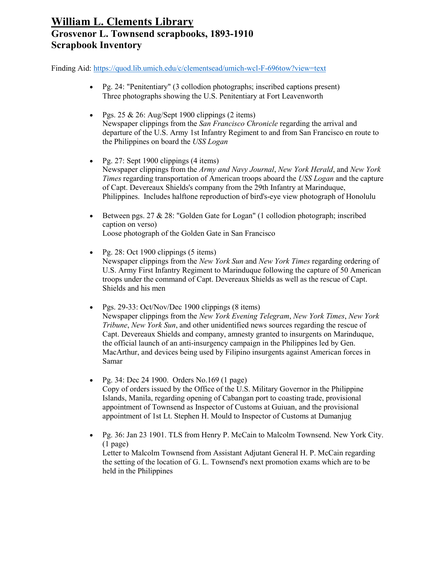- Pg. 24: "Penitentiary" (3 collodion photographs; inscribed captions present) Three photographs showing the U.S. Penitentiary at Fort Leavenworth
- Pgs.  $25 \& 26$ : Aug/Sept 1900 clippings (2 items) Newspaper clippings from the *San Francisco Chronicle* regarding the arrival and departure of the U.S. Army 1st Infantry Regiment to and from San Francisco en route to the Philippines on board the *USS Logan*
- Pg. 27: Sept 1900 clippings (4 items) Newspaper clippings from the *Army and Navy Journal*, *New York Herald*, and *New York Times* regarding transportation of American troops aboard the *USS Logan* and the capture of Capt. Devereaux Shields's company from the 29th Infantry at Marinduque, Philippines. Includes halftone reproduction of bird's-eye view photograph of Honolulu
- Between pgs. 27 & 28: "Golden Gate for Logan" (1 collodion photograph; inscribed caption on verso) Loose photograph of the Golden Gate in San Francisco
- Pg. 28: Oct 1900 clippings  $(5 \text{ items})$ Newspaper clippings from the *New York Sun* and *New York Times* regarding ordering of U.S. Army First Infantry Regiment to Marinduque following the capture of 50 American troops under the command of Capt. Devereaux Shields as well as the rescue of Capt. Shields and his men
- Pgs. 29-33: Oct/Nov/Dec 1900 clippings (8 items) Newspaper clippings from the *New York Evening Telegram*, *New York Times*, *New York Tribune*, *New York Sun*, and other unidentified news sources regarding the rescue of Capt. Devereaux Shields and company, amnesty granted to insurgents on Marinduque, the official launch of an anti-insurgency campaign in the Philippines led by Gen. MacArthur, and devices being used by Filipino insurgents against American forces in Samar
- Pg. 34: Dec 24 1900. Orders No.169 (1 page) Copy of orders issued by the Office of the U.S. Military Governor in the Philippine Islands, Manila, regarding opening of Cabangan port to coasting trade, provisional appointment of Townsend as Inspector of Customs at Guiuan, and the provisional appointment of 1st Lt. Stephen H. Mould to Inspector of Customs at Dumanjug
- Pg. 36: Jan 23 1901. TLS from Henry P. McCain to Malcolm Townsend. New York City. (1 page) Letter to Malcolm Townsend from Assistant Adjutant General H. P. McCain regarding the setting of the location of G. L. Townsend's next promotion exams which are to be held in the Philippines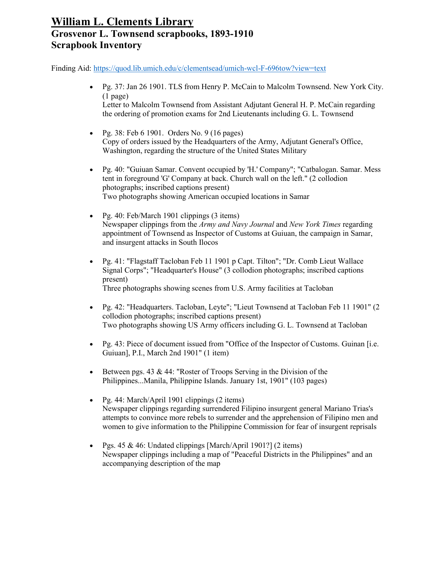- Pg. 37: Jan 26 1901. TLS from Henry P. McCain to Malcolm Townsend. New York City. (1 page) Letter to Malcolm Townsend from Assistant Adjutant General H. P. McCain regarding the ordering of promotion exams for 2nd Lieutenants including G. L. Townsend
- Pg. 38: Feb  $6$  1901. Orders No. 9 (16 pages) Copy of orders issued by the Headquarters of the Army, Adjutant General's Office, Washington, regarding the structure of the United States Military
- Pg. 40: "Guiuan Samar. Convent occupied by 'H.' Company"; "Catbalogan. Samar. Mess tent in foreground 'G' Company at back. Church wall on the left." (2 collodion photographs; inscribed captions present) Two photographs showing American occupied locations in Samar
- Pg. 40: Feb/March 1901 clippings (3 items) Newspaper clippings from the *Army and Navy Journal* and *New York Times* regarding appointment of Townsend as Inspector of Customs at Guiuan, the campaign in Samar, and insurgent attacks in South Ilocos
- Pg. 41: "Flagstaff Tacloban Feb 11 1901 p Capt. Tilton"; "Dr. Comb Lieut Wallace Signal Corps"; "Headquarter's House" (3 collodion photographs; inscribed captions present) Three photographs showing scenes from U.S. Army facilities at Tacloban
- Pg. 42: "Headquarters. Tacloban, Leyte"; "Lieut Townsend at Tacloban Feb 11 1901" (2 collodion photographs; inscribed captions present) Two photographs showing US Army officers including G. L. Townsend at Tacloban
- Pg. 43: Piece of document issued from "Office of the Inspector of Customs. Guinan [i.e. Guiuan], P.I., March 2nd 1901" (1 item)
- Between pgs. 43 & 44: "Roster of Troops Serving in the Division of the Philippines...Manila, Philippine Islands. January 1st, 1901" (103 pages)
- Pg. 44: March/April 1901 clippings (2 items) Newspaper clippings regarding surrendered Filipino insurgent general Mariano Trias's attempts to convince more rebels to surrender and the apprehension of Filipino men and women to give information to the Philippine Commission for fear of insurgent reprisals
- Pgs.  $45 \& 46$ : Undated clippings [March/April 1901?] (2 items) Newspaper clippings including a map of "Peaceful Districts in the Philippines" and an accompanying description of the map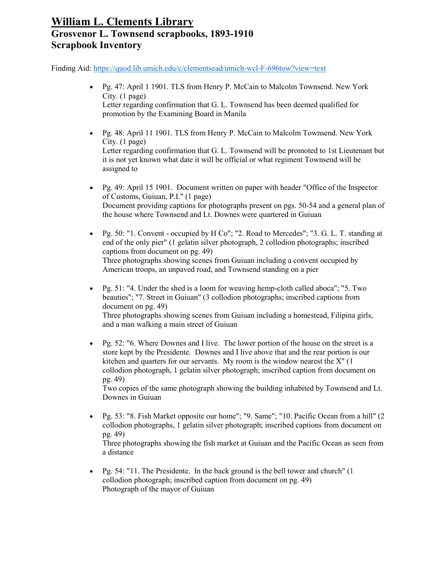Finding Aid:<https://quod.lib.umich.edu/c/clementsead/umich-wcl-F-696tow?view=text>

- Pg. 47: April 1 1901. TLS from Henry P. McCain to Malcolm Townsend. New York City. (1 page) Letter regarding confirmation that G. L. Townsend has been deemed qualified for promotion by the Examining Board in Manila
- Pg. 48: April 11 1901. TLS from Henry P. McCain to Malcolm Townsend. New York City. (1 page) Letter regarding confirmation that G. L. Townsend will be promoted to 1st Lieutenant but it is not yet known what date it will be official or what regiment Townsend will be assigned to
- Pg. 49: April 15 1901. Document written on paper with header "Office of the Inspector of Customs, Guiuan, P.I." (1 page) Document providing captions for photographs present on pgs. 50-54 and a general plan of the house where Townsend and Lt. Downes were quartered in Guiuan
- Pg. 50: "1. Convent occupied by H Co"; "2. Road to Mercedes"; "3. G. L. T. standing at end of the only pier" (1 gelatin silver photograph, 2 collodion photographs; inscribed captions from document on pg. 49) Three photographs showing scenes from Guiuan including a convent occupied by American troops, an unpaved road, and Townsend standing on a pier
- Pg. 51: "4. Under the shed is a loom for weaving hemp-cloth called aboca"; "5. Two beauties"; "7. Street in Guiuan" (3 collodion photographs; inscribed captions from document on pg. 49) Three photographs showing scenes from Guiuan including a homestead, Filipina girls, and a man walking a main street of Guiuan
- Pg. 52: "6. Where Downes and I live. The lower portion of the house on the street is a store kept by the Presidente. Downes and I live above that and the rear portion is our kitchen and quarters for our servants. My room is the window nearest the  $X''(1)$ collodion photograph, 1 gelatin silver photograph; inscribed caption from document on pg. 49)

Two copies of the same photograph showing the building inhabited by Townsend and Lt. Downes in Guiuan

- Pg. 53: "8. Fish Market opposite our home"; "9. Same"; "10. Pacific Ocean from a hill" (2 collodion photographs, 1 gelatin silver photograph; inscribed captions from document on pg. 49) Three photographs showing the fish market at Guiuan and the Pacific Ocean as seen from a distance
- Pg. 54: "11. The Presidente. In the back ground is the bell tower and church" (1) collodion photograph; inscribed caption from document on pg. 49) Photograph of the mayor of Guiuan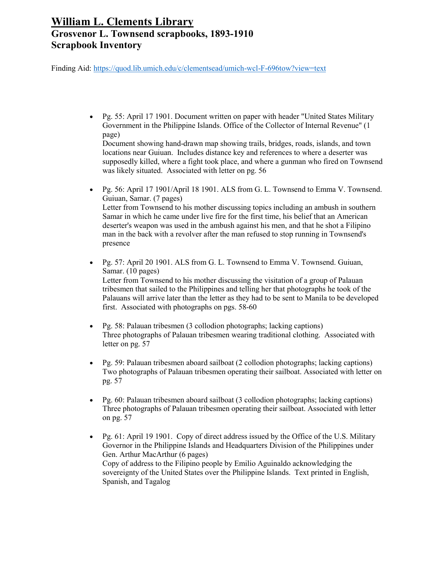Finding Aid:<https://quod.lib.umich.edu/c/clementsead/umich-wcl-F-696tow?view=text>

• Pg. 55: April 17 1901. Document written on paper with header "United States Military Government in the Philippine Islands. Office of the Collector of Internal Revenue" (1 page)

Document showing hand-drawn map showing trails, bridges, roads, islands, and town locations near Guiuan. Includes distance key and references to where a deserter was supposedly killed, where a fight took place, and where a gunman who fired on Townsend was likely situated. Associated with letter on pg. 56

- Pg. 56: April 17 1901/April 18 1901. ALS from G. L. Townsend to Emma V. Townsend. Guiuan, Samar. (7 pages) Letter from Townsend to his mother discussing topics including an ambush in southern Samar in which he came under live fire for the first time, his belief that an American deserter's weapon was used in the ambush against his men, and that he shot a Filipino man in the back with a revolver after the man refused to stop running in Townsend's presence
- Pg. 57: April 20 1901. ALS from G. L. Townsend to Emma V. Townsend. Guiuan, Samar. (10 pages) Letter from Townsend to his mother discussing the visitation of a group of Palauan tribesmen that sailed to the Philippines and telling her that photographs he took of the Palauans will arrive later than the letter as they had to be sent to Manila to be developed first. Associated with photographs on pgs. 58-60
- Pg. 58: Palauan tribesmen (3 collodion photographs; lacking captions) Three photographs of Palauan tribesmen wearing traditional clothing. Associated with letter on pg. 57
- Pg. 59: Palauan tribesmen aboard sailboat (2 collodion photographs; lacking captions) Two photographs of Palauan tribesmen operating their sailboat. Associated with letter on pg. 57
- Pg. 60: Palauan tribesmen aboard sailboat (3 collodion photographs; lacking captions) Three photographs of Palauan tribesmen operating their sailboat. Associated with letter on pg. 57
- Pg. 61: April 19 1901. Copy of direct address issued by the Office of the U.S. Military Governor in the Philippine Islands and Headquarters Division of the Philippines under Gen. Arthur MacArthur (6 pages) Copy of address to the Filipino people by Emilio Aguinaldo acknowledging the sovereignty of the United States over the Philippine Islands. Text printed in English, Spanish, and Tagalog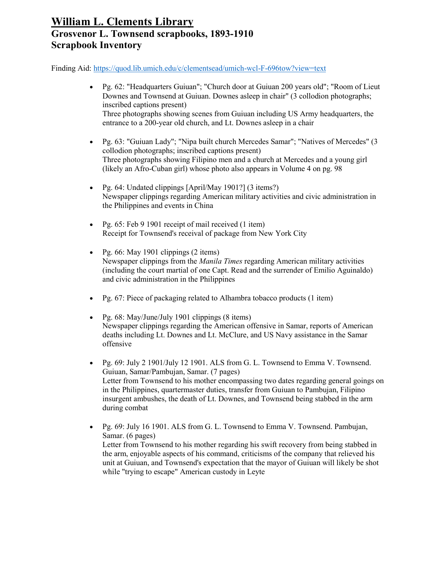- Pg. 62: "Headquarters Guiuan"; "Church door at Guiuan 200 years old"; "Room of Lieut Downes and Townsend at Guiuan. Downes asleep in chair" (3 collodion photographs; inscribed captions present) Three photographs showing scenes from Guiuan including US Army headquarters, the entrance to a 200-year old church, and Lt. Downes asleep in a chair
- Pg. 63: "Guiuan Lady"; "Nipa built church Mercedes Samar"; "Natives of Mercedes" (3 collodion photographs; inscribed captions present) Three photographs showing Filipino men and a church at Mercedes and a young girl (likely an Afro-Cuban girl) whose photo also appears in Volume 4 on pg. 98
- Pg. 64: Undated clippings [April/May 1901?] (3 items?) Newspaper clippings regarding American military activities and civic administration in the Philippines and events in China
- Pg. 65: Feb 9 1901 receipt of mail received (1 item) Receipt for Townsend's receival of package from New York City
- Pg. 66: May 1901 clippings  $(2 \text{ items})$ Newspaper clippings from the *Manila Times* regarding American military activities (including the court martial of one Capt. Read and the surrender of Emilio Aguinaldo) and civic administration in the Philippines
- Pg. 67: Piece of packaging related to Alhambra tobacco products (1 item)
- Pg. 68: May/June/July 1901 clippings (8 items) Newspaper clippings regarding the American offensive in Samar, reports of American deaths including Lt. Downes and Lt. McClure, and US Navy assistance in the Samar offensive
- Pg.  $69$ : July 2 1901/July 12 1901. ALS from G. L. Townsend to Emma V. Townsend. Guiuan, Samar/Pambujan, Samar. (7 pages) Letter from Townsend to his mother encompassing two dates regarding general goings on in the Philippines, quartermaster duties, transfer from Guiuan to Pambujan, Filipino insurgent ambushes, the death of Lt. Downes, and Townsend being stabbed in the arm during combat
- Pg. 69: July 16 1901. ALS from G. L. Townsend to Emma V. Townsend. Pambujan, Samar. (6 pages) Letter from Townsend to his mother regarding his swift recovery from being stabbed in the arm, enjoyable aspects of his command, criticisms of the company that relieved his unit at Guiuan, and Townsend's expectation that the mayor of Guiuan will likely be shot while "trying to escape" American custody in Leyte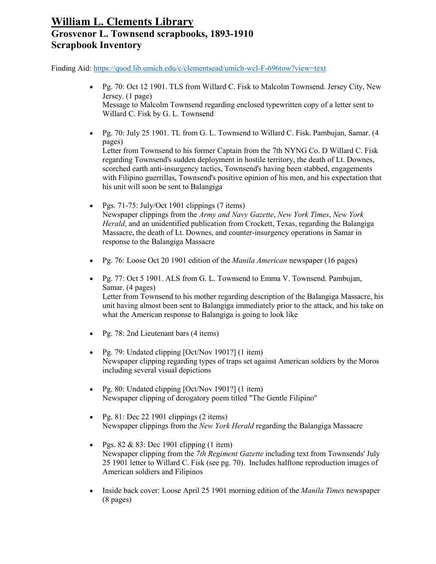Finding Aid:<https://quod.lib.umich.edu/c/clementsead/umich-wcl-F-696tow?view=text>

- Pg. 70: Oct 12 1901. TLS from Willard C. Fisk to Malcolm Townsend. Jersey City, New Jersey. (1 page) Message to Malcolm Townsend regarding enclosed typewritten copy of a letter sent to Willard C. Fisk by G. L. Townsend
- Pg. 70: July 25 1901. TL from G. L. Townsend to Willard C. Fisk. Pambujan, Samar. (4 pages)

Letter from Townsend to his former Captain from the 7th NYNG Co. D Willard C. Fisk regarding Townsend's sudden deployment in hostile territory, the death of Lt. Downes, scorched earth anti-insurgency tactics, Townsend's having been stabbed, engagements with Filipino guerrillas, Townsend's positive opinion of his men, and his expectation that his unit will soon be sent to Balangiga

- Pgs.  $71-75$ : July/Oct 1901 clippings (7 items) Newspaper clippings from the *Army and Navy Gazette*, *New York Times*, *New York Herald*, and an unidentified publication from Crockett, Texas, regarding the Balangiga Massacre, the death of Lt. Downes, and counter-insurgency operations in Samar in response to the Balangiga Massacre
- Pg. 76: Loose Oct 20 1901 edition of the *Manila American* newspaper (16 pages)
- Pg. 77: Oct 5 1901. ALS from G. L. Townsend to Emma V. Townsend. Pambujan, Samar. (4 pages) Letter from Townsend to his mother regarding description of the Balangiga Massacre, his unit having almost been sent to Balangiga immediately prior to the attack, and his take on what the American response to Balangiga is going to look like
- Pg. 78: 2nd Lieutenant bars (4 items)
- Pg. 79: Undated clipping [Oct/Nov 1901?] (1 item) Newspaper clipping regarding types of traps set against American soldiers by the Moros including several visual depictions
- Pg. 80: Undated clipping [Oct/Nov 1901?] (1 item) Newspaper clipping of derogatory poem titled "The Gentle Filipino"
- Pg.  $81:$  Dec 22 1901 clippings (2 items) Newspaper clippings from the *New York Herald* regarding the Balangiga Massacre
- Pgs.  $82 \& 83$ : Dec 1901 clipping (1 item) Newspaper clipping from the *7th Regiment Gazette* including text from Townsends' July 25 1901 letter to Willard C. Fisk (see pg. 70). Includes halftone reproduction images of American soldiers and Filipinos
- Inside back cover: Loose April 25 1901 morning edition of the *Manila Times* newspaper (8 pages)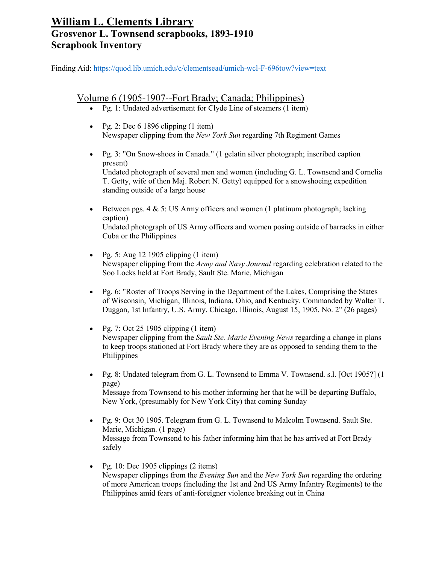Finding Aid:<https://quod.lib.umich.edu/c/clementsead/umich-wcl-F-696tow?view=text>

#### Volume 6 (1905-1907--Fort Brady; Canada; Philippines)

- Pg. 1: Undated advertisement for Clyde Line of steamers (1 item)
- Pg. 2: Dec  $6\,1896$  clipping  $(1\,\text{item})$ Newspaper clipping from the *New York Sun* regarding 7th Regiment Games
- Pg. 3: "On Snow-shoes in Canada." (1 gelatin silver photograph; inscribed caption present) Undated photograph of several men and women (including G. L. Townsend and Cornelia T. Getty, wife of then Maj. Robert N. Getty) equipped for a snowshoeing expedition standing outside of a large house
- Between pgs.  $4 \& 5$ : US Army officers and women (1 platinum photograph; lacking caption) Undated photograph of US Army officers and women posing outside of barracks in either Cuba or the Philippines
- Pg. 5: Aug 12 1905 clipping  $(1$  item) Newspaper clipping from the *Army and Navy Journal* regarding celebration related to the Soo Locks held at Fort Brady, Sault Ste. Marie, Michigan
- Pg. 6: "Roster of Troops Serving in the Department of the Lakes, Comprising the States of Wisconsin, Michigan, Illinois, Indiana, Ohio, and Kentucky. Commanded by Walter T. Duggan, 1st Infantry, U.S. Army. Chicago, Illinois, August 15, 1905. No. 2" (26 pages)
- Pg. 7: Oct 25 1905 clipping  $(1$  item) Newspaper clipping from the *Sault Ste. Marie Evening News* regarding a change in plans to keep troops stationed at Fort Brady where they are as opposed to sending them to the Philippines
- Pg. 8: Undated telegram from G. L. Townsend to Emma V. Townsend. s.l. [Oct 1905?] (1 page) Message from Townsend to his mother informing her that he will be departing Buffalo, New York, (presumably for New York City) that coming Sunday
- Pg. 9: Oct 30 1905. Telegram from G. L. Townsend to Malcolm Townsend. Sault Ste. Marie, Michigan. (1 page) Message from Townsend to his father informing him that he has arrived at Fort Brady safely
- Pg. 10: Dec 1905 clippings  $(2 \text{ items})$ Newspaper clippings from the *Evening Sun* and the *New York Sun* regarding the ordering of more American troops (including the 1st and 2nd US Army Infantry Regiments) to the Philippines amid fears of anti-foreigner violence breaking out in China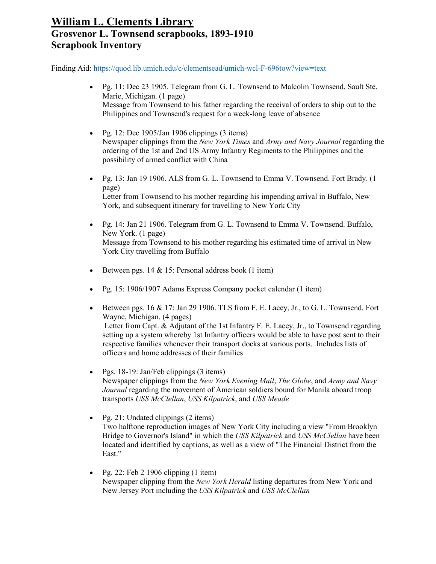- Pg. 11: Dec 23 1905. Telegram from G. L. Townsend to Malcolm Townsend. Sault Ste. Marie, Michigan. (1 page) Message from Townsend to his father regarding the receival of orders to ship out to the Philippines and Townsend's request for a week-long leave of absence
- Pg. 12: Dec 1905/Jan 1906 clippings  $(3 \text{ items})$ Newspaper clippings from the *New York Times* and *Army and Navy Journal* regarding the ordering of the 1st and 2nd US Army Infantry Regiments to the Philippines and the possibility of armed conflict with China
- Pg. 13: Jan 19 1906. ALS from G. L. Townsend to Emma V. Townsend. Fort Brady. (1 page) Letter from Townsend to his mother regarding his impending arrival in Buffalo, New York, and subsequent itinerary for travelling to New York City
- Pg. 14: Jan 21 1906. Telegram from G. L. Townsend to Emma V. Townsend. Buffalo, New York. (1 page) Message from Townsend to his mother regarding his estimated time of arrival in New York City travelling from Buffalo
- Between pgs.  $14 \& 15$ : Personal address book (1 item)
- Pg. 15: 1906/1907 Adams Express Company pocket calendar (1 item)
- Between pgs.  $16 \& 17$ : Jan 29 1906. TLS from F. E. Lacey, Jr., to G. L. Townsend. Fort Wayne, Michigan. (4 pages) Letter from Capt. & Adjutant of the 1st Infantry F. E. Lacey, Jr., to Townsend regarding setting up a system whereby 1st Infantry officers would be able to have post sent to their respective families whenever their transport docks at various ports. Includes lists of officers and home addresses of their families
- Pgs. 18-19: Jan/Feb clippings (3 items) Newspaper clippings from the *New York Evening Mail*, *The Globe*, and *Army and Navy Journal* regarding the movement of American soldiers bound for Manila aboard troop transports *USS McClellan*, *USS Kilpatrick*, and *USS Meade*
- Pg. 21: Undated clippings (2 items) Two halftone reproduction images of New York City including a view "From Brooklyn Bridge to Governor's Island" in which the *USS Kilpatrick* and *USS McClellan* have been located and identified by captions, as well as a view of "The Financial District from the East."
- Pg. 22: Feb 2 1906 clipping  $(1$  item) Newspaper clipping from the *New York Herald* listing departures from New York and New Jersey Port including the *USS Kilpatrick* and *USS McClellan*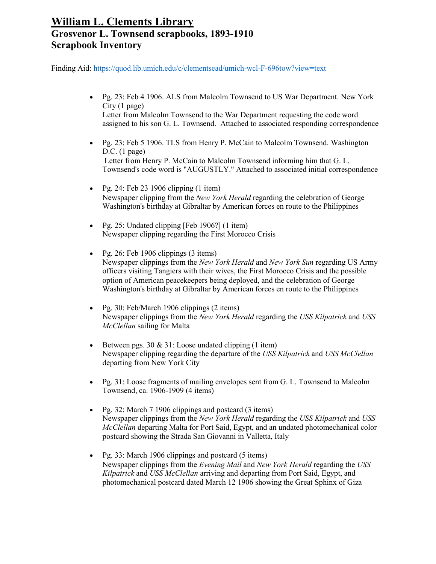- Pg. 23: Feb 4 1906. ALS from Malcolm Townsend to US War Department. New York City (1 page) Letter from Malcolm Townsend to the War Department requesting the code word assigned to his son G. L. Townsend. Attached to associated responding correspondence
- Pg. 23: Feb 5 1906. TLS from Henry P. McCain to Malcolm Townsend. Washington D.C. (1 page) Letter from Henry P. McCain to Malcolm Townsend informing him that G. L. Townsend's code word is "AUGUSTLY." Attached to associated initial correspondence
- Pg. 24: Feb 23 1906 clipping  $(1$  item) Newspaper clipping from the *New York Herald* regarding the celebration of George Washington's birthday at Gibraltar by American forces en route to the Philippines
- Pg. 25: Undated clipping [Feb 1906?] (1 item) Newspaper clipping regarding the First Morocco Crisis
- Pg. 26: Feb 1906 clippings (3 items) Newspaper clippings from the *New York Herald* and *New York Sun* regarding US Army officers visiting Tangiers with their wives, the First Morocco Crisis and the possible option of American peacekeepers being deployed, and the celebration of George Washington's birthday at Gibraltar by American forces en route to the Philippines
- Pg. 30: Feb/March 1906 clippings (2 items) Newspaper clippings from the *New York Herald* regarding the *USS Kilpatrick* and *USS McClellan* sailing for Malta
- Between pgs.  $30 \& 31$ : Loose undated clipping (1 item) Newspaper clipping regarding the departure of the *USS Kilpatrick* and *USS McClellan* departing from New York City
- Pg. 31: Loose fragments of mailing envelopes sent from G. L. Townsend to Malcolm Townsend, ca. 1906-1909 (4 items)
- Pg. 32: March 7 1906 clippings and postcard (3 items) Newspaper clippings from the *New York Herald* regarding the *USS Kilpatrick* and *USS McClellan* departing Malta for Port Said, Egypt, and an undated photomechanical color postcard showing the Strada San Giovanni in Valletta, Italy
- Pg. 33: March 1906 clippings and postcard  $(5 \text{ items})$ Newspaper clippings from the *Evening Mail* and *New York Herald* regarding the *USS Kilpatrick* and *USS McClellan* arriving and departing from Port Said, Egypt, and photomechanical postcard dated March 12 1906 showing the Great Sphinx of Giza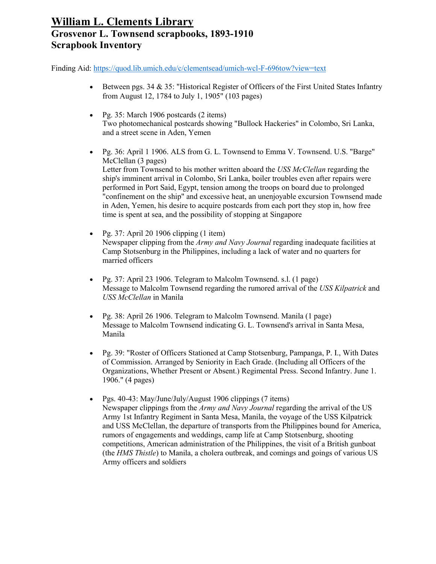- Between pgs. 34  $\&$  35: "Historical Register of Officers of the First United States Infantry from August 12, 1784 to July 1, 1905" (103 pages)
- Pg. 35: March 1906 postcards (2 items) Two photomechanical postcards showing "Bullock Hackeries" in Colombo, Sri Lanka, and a street scene in Aden, Yemen
- Pg. 36: April 1 1906. ALS from G. L. Townsend to Emma V. Townsend. U.S. "Barge" McClellan (3 pages) Letter from Townsend to his mother written aboard the *USS McClellan* regarding the ship's imminent arrival in Colombo, Sri Lanka, boiler troubles even after repairs were performed in Port Said, Egypt, tension among the troops on board due to prolonged "confinement on the ship" and excessive heat, an unenjoyable excursion Townsend made in Aden, Yemen, his desire to acquire postcards from each port they stop in, how free time is spent at sea, and the possibility of stopping at Singapore
- Pg. 37: April 20 1906 clipping  $(1$  item) Newspaper clipping from the *Army and Navy Journal* regarding inadequate facilities at Camp Stotsenburg in the Philippines, including a lack of water and no quarters for married officers
- Pg. 37: April 23 1906. Telegram to Malcolm Townsend. s.l. (1 page) Message to Malcolm Townsend regarding the rumored arrival of the *USS Kilpatrick* and *USS McClellan* in Manila
- Pg. 38: April 26 1906. Telegram to Malcolm Townsend. Manila (1 page) Message to Malcolm Townsend indicating G. L. Townsend's arrival in Santa Mesa, Manila
- Pg. 39: "Roster of Officers Stationed at Camp Stotsenburg, Pampanga, P. I., With Dates of Commission. Arranged by Seniority in Each Grade. (Including all Officers of the Organizations, Whether Present or Absent.) Regimental Press. Second Infantry. June 1. 1906." (4 pages)
- Pgs. 40-43: May/June/July/August 1906 clippings (7 items) Newspaper clippings from the *Army and Navy Journal* regarding the arrival of the US Army 1st Infantry Regiment in Santa Mesa, Manila, the voyage of the USS Kilpatrick and USS McClellan, the departure of transports from the Philippines bound for America, rumors of engagements and weddings, camp life at Camp Stotsenburg, shooting competitions, American administration of the Philippines, the visit of a British gunboat (the *HMS Thistle*) to Manila, a cholera outbreak, and comings and goings of various US Army officers and soldiers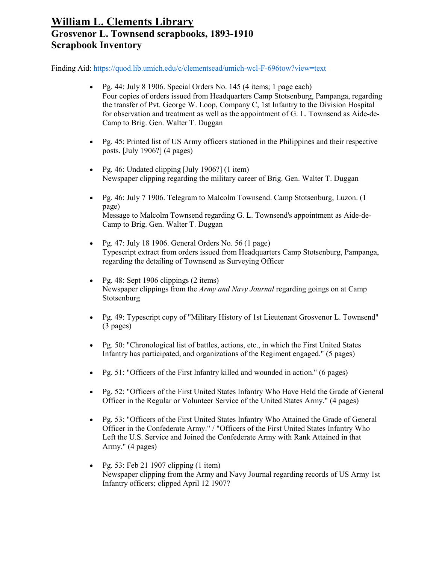- Pg. 44: July 8 1906. Special Orders No. 145 (4 items; 1 page each) Four copies of orders issued from Headquarters Camp Stotsenburg, Pampanga, regarding the transfer of Pvt. George W. Loop, Company C, 1st Infantry to the Division Hospital for observation and treatment as well as the appointment of G. L. Townsend as Aide-de-Camp to Brig. Gen. Walter T. Duggan
- Pg. 45: Printed list of US Army officers stationed in the Philippines and their respective posts. [July 1906?] (4 pages)
- Pg. 46: Undated clipping [July 1906?] (1 item) Newspaper clipping regarding the military career of Brig. Gen. Walter T. Duggan
- Pg. 46: July 7 1906. Telegram to Malcolm Townsend. Camp Stotsenburg, Luzon. (1 page) Message to Malcolm Townsend regarding G. L. Townsend's appointment as Aide-de-Camp to Brig. Gen. Walter T. Duggan
- Pg. 47: July 18 1906. General Orders No.  $56(1 \text{ page})$ Typescript extract from orders issued from Headquarters Camp Stotsenburg, Pampanga, regarding the detailing of Townsend as Surveying Officer
- Pg. 48: Sept 1906 clippings (2 items) Newspaper clippings from the *Army and Navy Journal* regarding goings on at Camp Stotsenburg
- Pg. 49: Typescript copy of "Military History of 1st Lieutenant Grosvenor L. Townsend" (3 pages)
- Pg. 50: "Chronological list of battles, actions, etc., in which the First United States Infantry has participated, and organizations of the Regiment engaged." (5 pages)
- Pg. 51: "Officers of the First Infantry killed and wounded in action." (6 pages)
- Pg. 52: "Officers of the First United States Infantry Who Have Held the Grade of General Officer in the Regular or Volunteer Service of the United States Army." (4 pages)
- Pg. 53: "Officers of the First United States Infantry Who Attained the Grade of General Officer in the Confederate Army." / "Officers of the First United States Infantry Who Left the U.S. Service and Joined the Confederate Army with Rank Attained in that Army." (4 pages)
- Pg. 53: Feb 21 1907 clipping  $(1$  item) Newspaper clipping from the Army and Navy Journal regarding records of US Army 1st Infantry officers; clipped April 12 1907?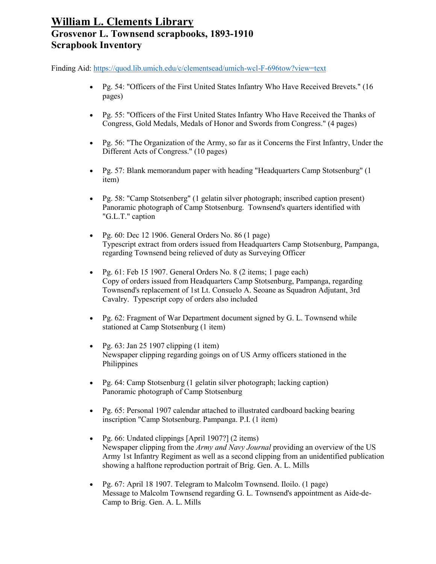- Pg. 54: "Officers of the First United States Infantry Who Have Received Brevets." (16 pages)
- Pg. 55: "Officers of the First United States Infantry Who Have Received the Thanks of Congress, Gold Medals, Medals of Honor and Swords from Congress." (4 pages)
- Pg. 56: "The Organization of the Army, so far as it Concerns the First Infantry, Under the Different Acts of Congress." (10 pages)
- Pg. 57: Blank memorandum paper with heading "Headquarters Camp Stotsenburg" (1 item)
- Pg. 58: "Camp Stotsenberg" (1 gelatin silver photograph; inscribed caption present) Panoramic photograph of Camp Stotsenburg. Townsend's quarters identified with "G.L.T." caption
- Pg.  $60:$  Dec 12 1906. General Orders No.  $86(1)$  page) Typescript extract from orders issued from Headquarters Camp Stotsenburg, Pampanga, regarding Townsend being relieved of duty as Surveying Officer
- Pg. 61: Feb 15 1907. General Orders No. 8 (2 items; 1 page each) Copy of orders issued from Headquarters Camp Stotsenburg, Pampanga, regarding Townsend's replacement of 1st Lt. Consuelo A. Seoane as Squadron Adjutant, 3rd Cavalry. Typescript copy of orders also included
- Pg. 62: Fragment of War Department document signed by G. L. Townsend while stationed at Camp Stotsenburg (1 item)
- Pg.  $63$ : Jan 25 1907 clipping  $(1$  item) Newspaper clipping regarding goings on of US Army officers stationed in the Philippines
- Pg. 64: Camp Stotsenburg (1 gelatin silver photograph; lacking caption) Panoramic photograph of Camp Stotsenburg
- Pg. 65: Personal 1907 calendar attached to illustrated cardboard backing bearing inscription "Camp Stotsenburg. Pampanga. P.I. (1 item)
- Pg. 66: Undated clippings [April 1907?] (2 items) Newspaper clipping from the *Army and Navy Journal* providing an overview of the US Army 1st Infantry Regiment as well as a second clipping from an unidentified publication showing a halftone reproduction portrait of Brig. Gen. A. L. Mills
- Pg. 67: April 18 1907. Telegram to Malcolm Townsend. Iloilo. (1 page) Message to Malcolm Townsend regarding G. L. Townsend's appointment as Aide-de-Camp to Brig. Gen. A. L. Mills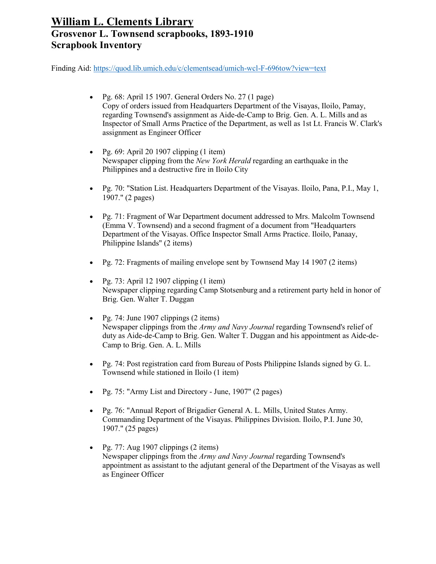- Pg. 68: April 15 1907. General Orders No. 27 (1 page) Copy of orders issued from Headquarters Department of the Visayas, Iloilo, Pamay, regarding Townsend's assignment as Aide-de-Camp to Brig. Gen. A. L. Mills and as Inspector of Small Arms Practice of the Department, as well as 1st Lt. Francis W. Clark's assignment as Engineer Officer
- Pg.  $69:$  April 20 1907 clipping  $(1$  item) Newspaper clipping from the *New York Herald* regarding an earthquake in the Philippines and a destructive fire in Iloilo City
- Pg. 70: "Station List. Headquarters Department of the Visayas. Iloilo, Pana, P.I., May 1, 1907." (2 pages)
- Pg. 71: Fragment of War Department document addressed to Mrs. Malcolm Townsend (Emma V. Townsend) and a second fragment of a document from "Headquarters Department of the Visayas. Office Inspector Small Arms Practice. Iloilo, Panaay, Philippine Islands" (2 items)
- Pg. 72: Fragments of mailing envelope sent by Townsend May 14 1907 (2 items)
- Pg. 73: April 12 1907 clipping  $(1$  item) Newspaper clipping regarding Camp Stotsenburg and a retirement party held in honor of Brig. Gen. Walter T. Duggan
- Pg. 74: June 1907 clippings  $(2 \text{ items})$ Newspaper clippings from the *Army and Navy Journal* regarding Townsend's relief of duty as Aide-de-Camp to Brig. Gen. Walter T. Duggan and his appointment as Aide-de-Camp to Brig. Gen. A. L. Mills
- Pg. 74: Post registration card from Bureau of Posts Philippine Islands signed by G. L. Townsend while stationed in Iloilo (1 item)
- Pg. 75: "Army List and Directory June, 1907" (2 pages)
- Pg. 76: "Annual Report of Brigadier General A. L. Mills, United States Army. Commanding Department of the Visayas. Philippines Division. Iloilo, P.I. June 30, 1907." (25 pages)
- Pg. 77: Aug 1907 clippings  $(2 \text{ items})$ Newspaper clippings from the *Army and Navy Journal* regarding Townsend's appointment as assistant to the adjutant general of the Department of the Visayas as well as Engineer Officer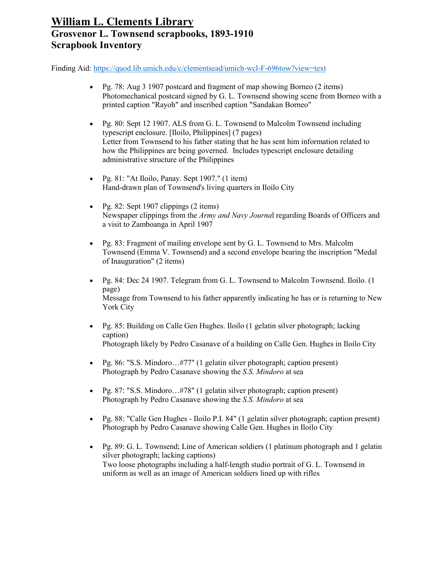- Pg. 78: Aug 3 1907 postcard and fragment of map showing Borneo (2 items) Photomechanical postcard signed by G. L. Townsend showing scene from Borneo with a printed caption "Rayoh" and inscribed caption "Sandakan Borneo"
- Pg. 80: Sept 12 1907. ALS from G. L. Townsend to Malcolm Townsend including typescript enclosure. [Iloilo, Philippines] (7 pages) Letter from Townsend to his father stating that he has sent him information related to how the Philippines are being governed. Includes typescript enclosure detailing administrative structure of the Philippines
- Pg. 81: "At Iloilo, Panay. Sept 1907." (1 item) Hand-drawn plan of Townsend's living quarters in Iloilo City
- Pg. 82: Sept 1907 clippings  $(2 \text{ items})$ Newspaper clippings from the *Army and Navy Journa*l regarding Boards of Officers and a visit to Zamboanga in April 1907
- Pg. 83: Fragment of mailing envelope sent by G. L. Townsend to Mrs. Malcolm Townsend (Emma V. Townsend) and a second envelope bearing the inscription "Medal of Inauguration" (2 items)
- Pg. 84: Dec 24 1907. Telegram from G. L. Townsend to Malcolm Townsend. Iloilo. (1 page) Message from Townsend to his father apparently indicating he has or is returning to New York City
- Pg. 85: Building on Calle Gen Hughes. Iloilo (1 gelatin silver photograph; lacking caption) Photograph likely by Pedro Casanave of a building on Calle Gen. Hughes in Iloilo City
- Pg. 86: "S.S. Mindoro...#77" (1 gelatin silver photograph; caption present) Photograph by Pedro Casanave showing the *S.S. Mindoro* at sea
- Pg. 87: "S.S. Mindoro...#78" (1 gelatin silver photograph; caption present) Photograph by Pedro Casanave showing the *S.S. Mindoro* at sea
- Pg. 88: "Calle Gen Hughes Iloilo P.I. 84" (1 gelatin silver photograph; caption present) Photograph by Pedro Casanave showing Calle Gen. Hughes in Iloilo City
- Pg. 89: G. L. Townsend; Line of American soldiers (1 platinum photograph and 1 gelatin silver photograph; lacking captions) Two loose photographs including a half-length studio portrait of G. L. Townsend in uniform as well as an image of American soldiers lined up with rifles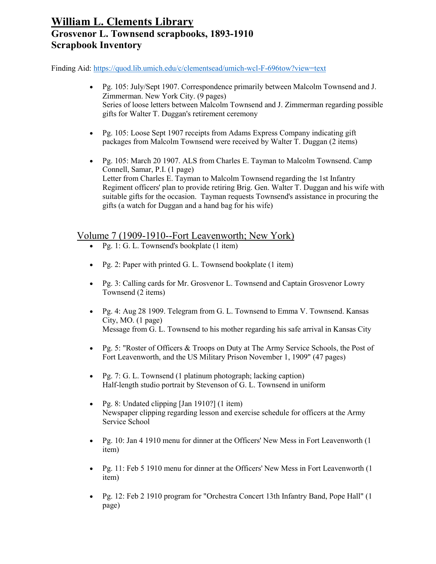Finding Aid:<https://quod.lib.umich.edu/c/clementsead/umich-wcl-F-696tow?view=text>

- Pg. 105: July/Sept 1907. Correspondence primarily between Malcolm Townsend and J. Zimmerman. New York City. (9 pages) Series of loose letters between Malcolm Townsend and J. Zimmerman regarding possible gifts for Walter T. Duggan's retirement ceremony
- Pg. 105: Loose Sept 1907 receipts from Adams Express Company indicating gift packages from Malcolm Townsend were received by Walter T. Duggan (2 items)
- Pg. 105: March 20 1907. ALS from Charles E. Tayman to Malcolm Townsend. Camp Connell, Samar, P.I. (1 page) Letter from Charles E. Tayman to Malcolm Townsend regarding the 1st Infantry Regiment officers' plan to provide retiring Brig. Gen. Walter T. Duggan and his wife with suitable gifts for the occasion. Tayman requests Townsend's assistance in procuring the gifts (a watch for Duggan and a hand bag for his wife)

#### Volume 7 (1909-1910--Fort Leavenworth; New York)

- Pg. 1: G. L. Townsend's bookplate  $(1$  item)
- Pg. 2: Paper with printed G. L. Townsend bookplate  $(1$  item)
- Pg. 3: Calling cards for Mr. Grosvenor L. Townsend and Captain Grosvenor Lowry Townsend (2 items)
- Pg. 4: Aug 28 1909. Telegram from G. L. Townsend to Emma V. Townsend. Kansas City, MO. (1 page) Message from G. L. Townsend to his mother regarding his safe arrival in Kansas City
- Pg. 5: "Roster of Officers & Troops on Duty at The Army Service Schools, the Post of Fort Leavenworth, and the US Military Prison November 1, 1909" (47 pages)
- Pg. 7: G. L. Townsend (1 platinum photograph; lacking caption) Half-length studio portrait by Stevenson of G. L. Townsend in uniform
- Pg. 8: Undated clipping [Jan 1910?] (1 item) Newspaper clipping regarding lesson and exercise schedule for officers at the Army Service School
- Pg. 10: Jan 4 1910 menu for dinner at the Officers' New Mess in Fort Leavenworth (1 item)
- Pg. 11: Feb 5 1910 menu for dinner at the Officers' New Mess in Fort Leavenworth (1) item)
- Pg. 12: Feb 2 1910 program for "Orchestra Concert 13th Infantry Band, Pope Hall" (1 page)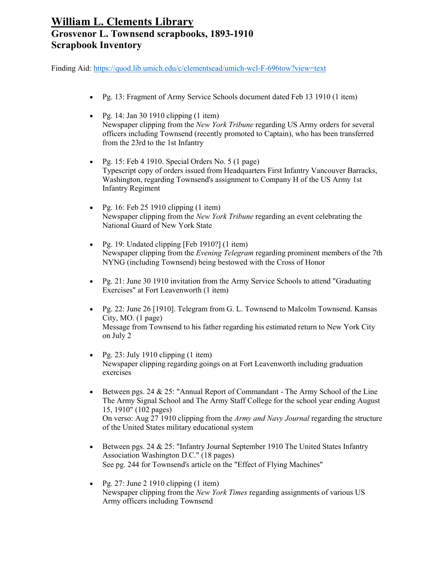- Pg. 13: Fragment of Army Service Schools document dated Feb 13 1910 (1 item)
- Pg. 14: Jan 30 1910 clipping  $(1$  item) Newspaper clipping from the *New York Tribune* regarding US Army orders for several officers including Townsend (recently promoted to Captain), who has been transferred from the 23rd to the 1st Infantry
- Pg. 15: Feb 4 1910. Special Orders No.  $5(1 \text{ page})$ Typescript copy of orders issued from Headquarters First Infantry Vancouver Barracks, Washington, regarding Townsend's assignment to Company H of the US Army 1st Infantry Regiment
- Pg. 16: Feb 25 1910 clipping  $(1$  item) Newspaper clipping from the *New York Tribune* regarding an event celebrating the National Guard of New York State
- Pg. 19: Undated clipping [Feb 1910?] (1 item) Newspaper clipping from the *Evening Telegram* regarding prominent members of the 7th NYNG (including Townsend) being bestowed with the Cross of Honor
- Pg. 21: June 30 1910 invitation from the Army Service Schools to attend "Graduating" Exercises" at Fort Leavenworth (1 item)
- Pg. 22: June 26 [1910]. Telegram from G. L. Townsend to Malcolm Townsend. Kansas City, MO. (1 page) Message from Townsend to his father regarding his estimated return to New York City on July 2
- Pg. 23: July 1910 clipping  $(1$  item) Newspaper clipping regarding goings on at Fort Leavenworth including graduation exercises
- Between pgs. 24  $& 25$ : "Annual Report of Commandant The Army School of the Line The Army Signal School and The Army Staff College for the school year ending August 15, 1910" (102 pages) On verso: Aug 27 1910 clipping from the *Army and Navy Journal* regarding the structure of the United States military educational system
- Between pgs. 24 & 25: "Infantry Journal September 1910 The United States Infantry Association Washington D.C." (18 pages) See pg. 244 for Townsend's article on the "Effect of Flying Machines"
- Pg. 27: June 2 1910 clipping  $(1$  item) Newspaper clipping from the *New York Times* regarding assignments of various US Army officers including Townsend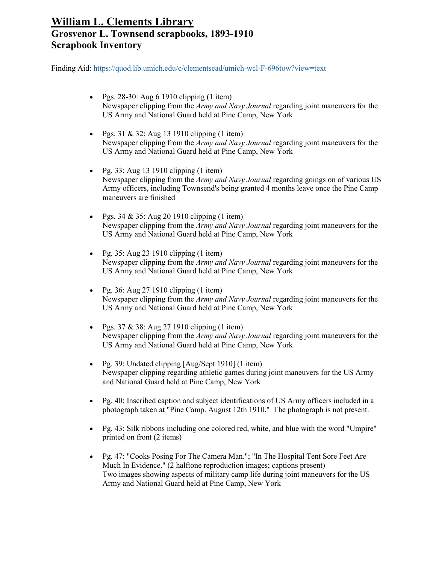- Pgs.  $28-30$ : Aug 6 1910 clipping (1 item) Newspaper clipping from the *Army and Navy Journal* regarding joint maneuvers for the US Army and National Guard held at Pine Camp, New York
- Pgs. 31 & 32: Aug 13 1910 clipping  $(1$  item) Newspaper clipping from the *Army and Navy Journal* regarding joint maneuvers for the US Army and National Guard held at Pine Camp, New York
- Pg. 33: Aug 13 1910 clipping  $(1$  item) Newspaper clipping from the *Army and Navy Journal* regarding goings on of various US Army officers, including Townsend's being granted 4 months leave once the Pine Camp maneuvers are finished
- Pgs. 34 & 35: Aug 20 1910 clipping  $(1 \text{ item})$ Newspaper clipping from the *Army and Navy Journal* regarding joint maneuvers for the US Army and National Guard held at Pine Camp, New York
- Pg. 35: Aug 23 1910 clipping  $(1$  item) Newspaper clipping from the *Army and Navy Journal* regarding joint maneuvers for the US Army and National Guard held at Pine Camp, New York
- Pg. 36: Aug 27 1910 clipping  $(1$  item) Newspaper clipping from the *Army and Navy Journal* regarding joint maneuvers for the US Army and National Guard held at Pine Camp, New York
- Pgs.  $37 \& 38$ : Aug 27 1910 clipping (1 item) Newspaper clipping from the *Army and Navy Journal* regarding joint maneuvers for the US Army and National Guard held at Pine Camp, New York
- Pg. 39: Undated clipping [Aug/Sept 1910] (1 item) Newspaper clipping regarding athletic games during joint maneuvers for the US Army and National Guard held at Pine Camp, New York
- Pg. 40: Inscribed caption and subject identifications of US Army officers included in a photograph taken at "Pine Camp. August 12th 1910." The photograph is not present.
- Pg. 43: Silk ribbons including one colored red, white, and blue with the word "Umpire" printed on front (2 items)
- Pg. 47: "Cooks Posing For The Camera Man."; "In The Hospital Tent Sore Feet Are Much In Evidence." (2 halftone reproduction images; captions present) Two images showing aspects of military camp life during joint maneuvers for the US Army and National Guard held at Pine Camp, New York